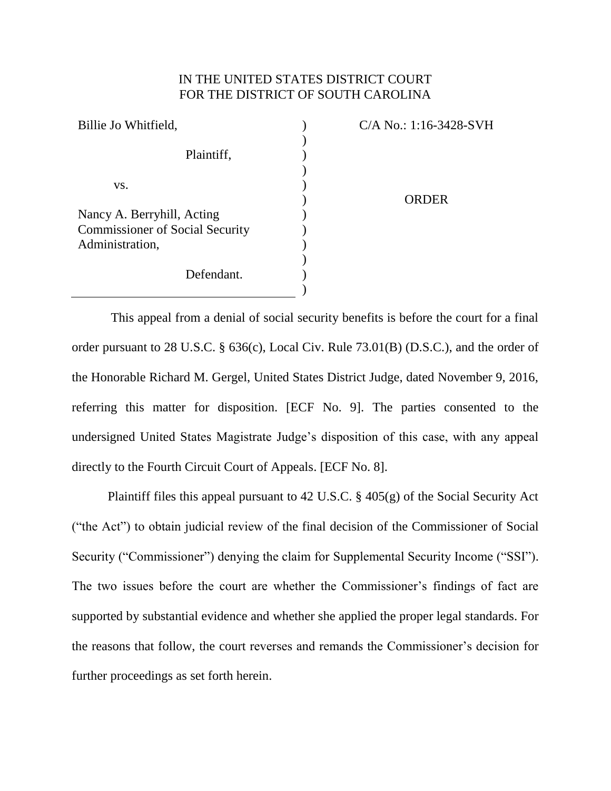# IN THE UNITED STATES DISTRICT COURT FOR THE DISTRICT OF SOUTH CAROLINA

| Billie Jo Whitfield,                   | C/A No.: 1:16-3428-SVH |
|----------------------------------------|------------------------|
|                                        |                        |
| Plaintiff,                             |                        |
|                                        |                        |
| VS.                                    |                        |
|                                        | <b>ORDER</b>           |
| Nancy A. Berryhill, Acting             |                        |
| <b>Commissioner of Social Security</b> |                        |
| Administration,                        |                        |
|                                        |                        |
| Defendant.                             |                        |
|                                        |                        |

This appeal from a denial of social security benefits is before the court for a final order pursuant to 28 U.S.C. § 636(c), Local Civ. Rule 73.01(B) (D.S.C.), and the order of the Honorable Richard M. Gergel, United States District Judge, dated November 9, 2016, referring this matter for disposition. [ECF No. 9]. The parties consented to the undersigned United States Magistrate Judge's disposition of this case, with any appeal directly to the Fourth Circuit Court of Appeals. [ECF No. 8].

Plaintiff files this appeal pursuant to 42 U.S.C. § 405(g) of the Social Security Act ("the Act") to obtain judicial review of the final decision of the Commissioner of Social Security ("Commissioner") denying the claim for Supplemental Security Income ("SSI"). The two issues before the court are whether the Commissioner's findings of fact are supported by substantial evidence and whether she applied the proper legal standards. For the reasons that follow, the court reverses and remands the Commissioner's decision for further proceedings as set forth herein.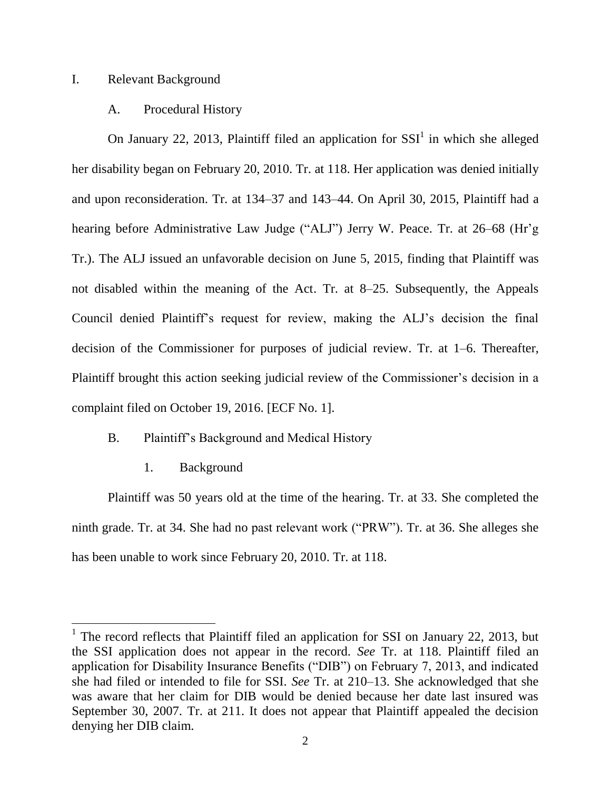# I. Relevant Background

## A. Procedural History

On January 22, 2013, Plaintiff filed an application for  $SSI<sup>1</sup>$  in which she alleged her disability began on February 20, 2010. Tr. at 118. Her application was denied initially and upon reconsideration. Tr. at 134–37 and 143–44. On April 30, 2015, Plaintiff had a hearing before Administrative Law Judge ("ALJ") Jerry W. Peace. Tr. at 26–68 (Hr'g Tr.). The ALJ issued an unfavorable decision on June 5, 2015, finding that Plaintiff was not disabled within the meaning of the Act. Tr. at 8–25. Subsequently, the Appeals Council denied Plaintiff's request for review, making the ALJ's decision the final decision of the Commissioner for purposes of judicial review. Tr. at 1–6. Thereafter, Plaintiff brought this action seeking judicial review of the Commissioner's decision in a complaint filed on October 19, 2016. [ECF No. 1].

# B. Plaintiff's Background and Medical History

1. Background

Plaintiff was 50 years old at the time of the hearing. Tr. at 33. She completed the ninth grade. Tr. at 34. She had no past relevant work ("PRW"). Tr. at 36. She alleges she has been unable to work since February 20, 2010. Tr. at 118.

<sup>&</sup>lt;sup>1</sup> The record reflects that Plaintiff filed an application for SSI on January 22, 2013, but the SSI application does not appear in the record. *See* Tr. at 118. Plaintiff filed an application for Disability Insurance Benefits ("DIB") on February 7, 2013, and indicated she had filed or intended to file for SSI. *See* Tr. at 210–13. She acknowledged that she was aware that her claim for DIB would be denied because her date last insured was September 30, 2007. Tr. at 211. It does not appear that Plaintiff appealed the decision denying her DIB claim.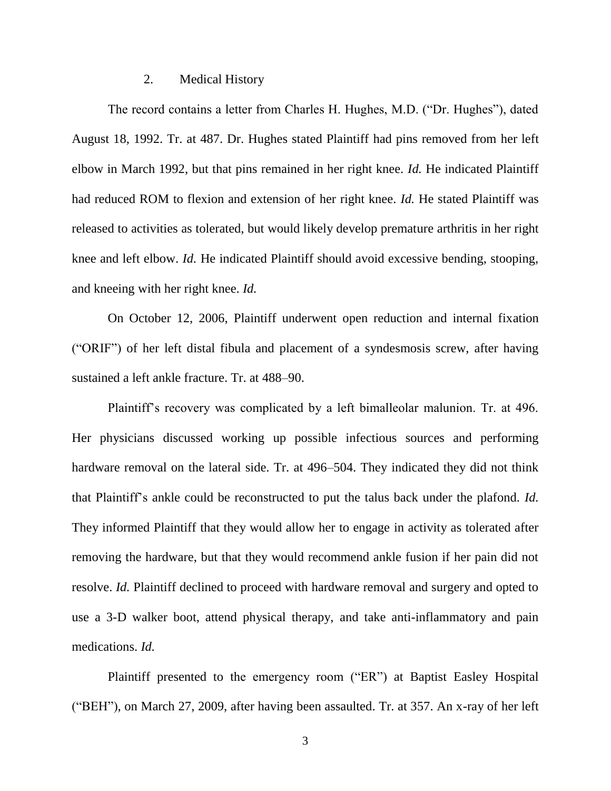#### 2. Medical History

The record contains a letter from Charles H. Hughes, M.D. ("Dr. Hughes"), dated August 18, 1992. Tr. at 487. Dr. Hughes stated Plaintiff had pins removed from her left elbow in March 1992, but that pins remained in her right knee. *Id.* He indicated Plaintiff had reduced ROM to flexion and extension of her right knee. *Id.* He stated Plaintiff was released to activities as tolerated, but would likely develop premature arthritis in her right knee and left elbow. *Id.* He indicated Plaintiff should avoid excessive bending, stooping, and kneeing with her right knee. *Id.*

On October 12, 2006, Plaintiff underwent open reduction and internal fixation ("ORIF") of her left distal fibula and placement of a syndesmosis screw, after having sustained a left ankle fracture. Tr. at 488–90.

Plaintiff's recovery was complicated by a left bimalleolar malunion. Tr. at 496. Her physicians discussed working up possible infectious sources and performing hardware removal on the lateral side. Tr. at 496–504. They indicated they did not think that Plaintiff's ankle could be reconstructed to put the talus back under the plafond. *Id.* They informed Plaintiff that they would allow her to engage in activity as tolerated after removing the hardware, but that they would recommend ankle fusion if her pain did not resolve. *Id.* Plaintiff declined to proceed with hardware removal and surgery and opted to use a 3-D walker boot, attend physical therapy, and take anti-inflammatory and pain medications. *Id.*

Plaintiff presented to the emergency room ("ER") at Baptist Easley Hospital ("BEH"), on March 27, 2009, after having been assaulted. Tr. at 357. An x-ray of her left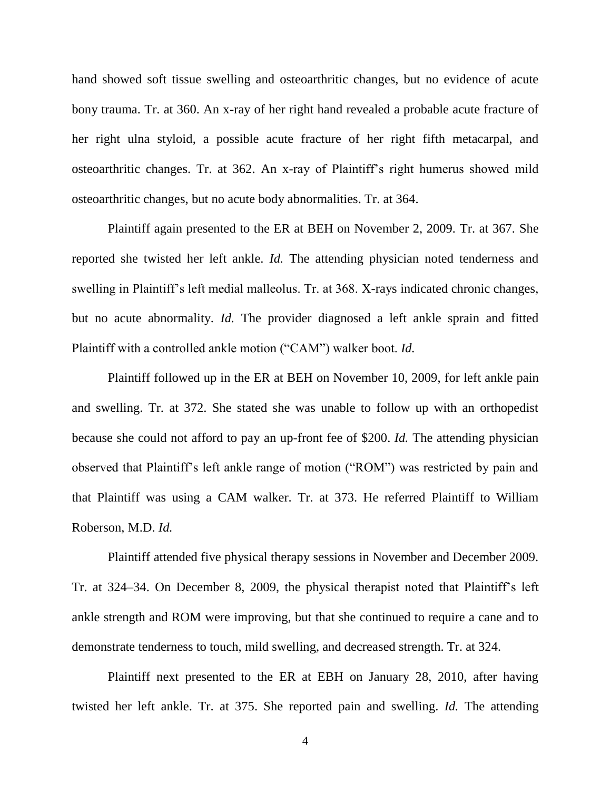hand showed soft tissue swelling and osteoarthritic changes, but no evidence of acute bony trauma. Tr. at 360. An x-ray of her right hand revealed a probable acute fracture of her right ulna styloid, a possible acute fracture of her right fifth metacarpal, and osteoarthritic changes. Tr. at 362. An x-ray of Plaintiff's right humerus showed mild osteoarthritic changes, but no acute body abnormalities. Tr. at 364.

Plaintiff again presented to the ER at BEH on November 2, 2009. Tr. at 367. She reported she twisted her left ankle. *Id.* The attending physician noted tenderness and swelling in Plaintiff's left medial malleolus. Tr. at 368. X-rays indicated chronic changes, but no acute abnormality. *Id.* The provider diagnosed a left ankle sprain and fitted Plaintiff with a controlled ankle motion ("CAM") walker boot. *Id.*

Plaintiff followed up in the ER at BEH on November 10, 2009, for left ankle pain and swelling. Tr. at 372. She stated she was unable to follow up with an orthopedist because she could not afford to pay an up-front fee of \$200. *Id.* The attending physician observed that Plaintiff's left ankle range of motion ("ROM") was restricted by pain and that Plaintiff was using a CAM walker. Tr. at 373. He referred Plaintiff to William Roberson, M.D. *Id.*

Plaintiff attended five physical therapy sessions in November and December 2009. Tr. at 324–34. On December 8, 2009, the physical therapist noted that Plaintiff's left ankle strength and ROM were improving, but that she continued to require a cane and to demonstrate tenderness to touch, mild swelling, and decreased strength. Tr. at 324.

Plaintiff next presented to the ER at EBH on January 28, 2010, after having twisted her left ankle. Tr. at 375. She reported pain and swelling. *Id.* The attending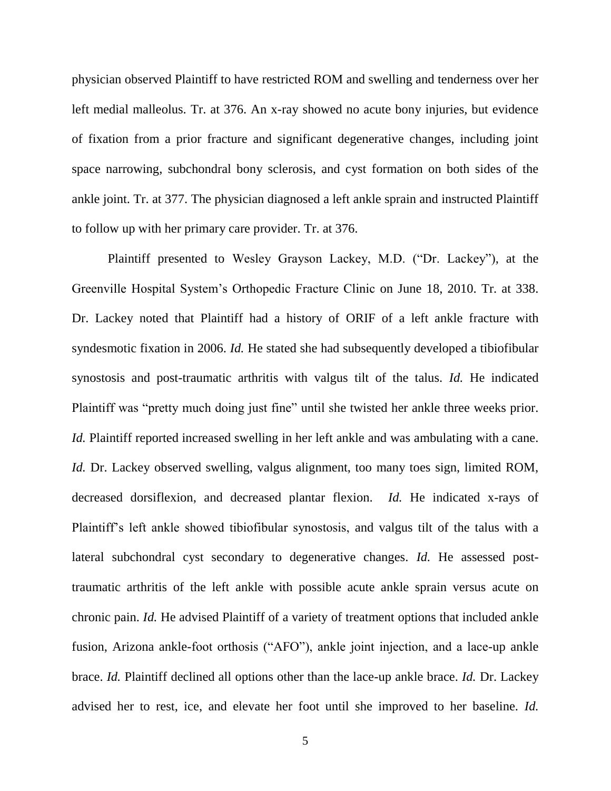physician observed Plaintiff to have restricted ROM and swelling and tenderness over her left medial malleolus. Tr. at 376. An x-ray showed no acute bony injuries, but evidence of fixation from a prior fracture and significant degenerative changes, including joint space narrowing, subchondral bony sclerosis, and cyst formation on both sides of the ankle joint. Tr. at 377. The physician diagnosed a left ankle sprain and instructed Plaintiff to follow up with her primary care provider. Tr. at 376.

Plaintiff presented to Wesley Grayson Lackey, M.D. ("Dr. Lackey"), at the Greenville Hospital System's Orthopedic Fracture Clinic on June 18, 2010. Tr. at 338. Dr. Lackey noted that Plaintiff had a history of ORIF of a left ankle fracture with syndesmotic fixation in 2006. *Id.* He stated she had subsequently developed a tibiofibular synostosis and post-traumatic arthritis with valgus tilt of the talus. *Id.* He indicated Plaintiff was "pretty much doing just fine" until she twisted her ankle three weeks prior. *Id.* Plaintiff reported increased swelling in her left ankle and was ambulating with a cane. *Id.* Dr. Lackey observed swelling, valgus alignment, too many toes sign, limited ROM, decreased dorsiflexion, and decreased plantar flexion. *Id.* He indicated x-rays of Plaintiff's left ankle showed tibiofibular synostosis, and valgus tilt of the talus with a lateral subchondral cyst secondary to degenerative changes. *Id.* He assessed posttraumatic arthritis of the left ankle with possible acute ankle sprain versus acute on chronic pain. *Id.* He advised Plaintiff of a variety of treatment options that included ankle fusion, Arizona ankle-foot orthosis ("AFO"), ankle joint injection, and a lace-up ankle brace. *Id.* Plaintiff declined all options other than the lace-up ankle brace. *Id.* Dr. Lackey advised her to rest, ice, and elevate her foot until she improved to her baseline. *Id.*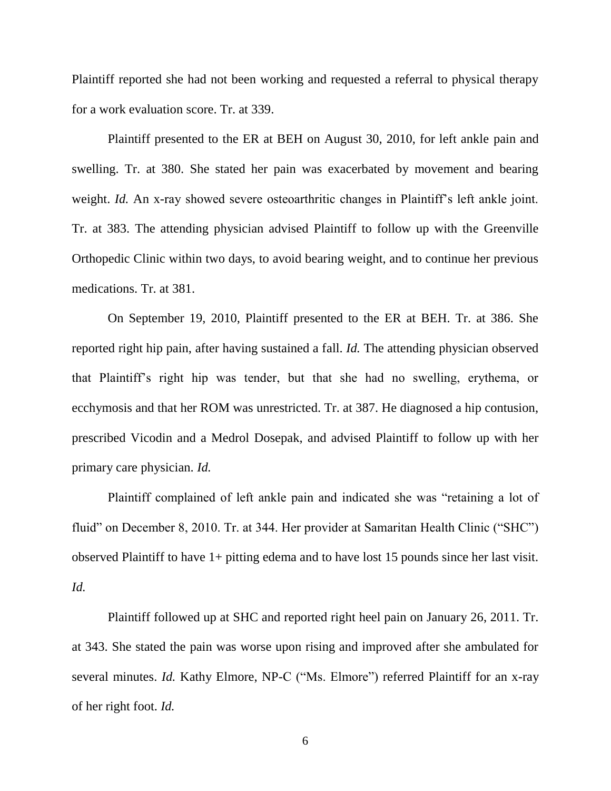Plaintiff reported she had not been working and requested a referral to physical therapy for a work evaluation score. Tr. at 339.

Plaintiff presented to the ER at BEH on August 30, 2010, for left ankle pain and swelling. Tr. at 380. She stated her pain was exacerbated by movement and bearing weight. *Id.* An x-ray showed severe osteoarthritic changes in Plaintiff's left ankle joint. Tr. at 383. The attending physician advised Plaintiff to follow up with the Greenville Orthopedic Clinic within two days, to avoid bearing weight, and to continue her previous medications. Tr. at 381.

On September 19, 2010, Plaintiff presented to the ER at BEH. Tr. at 386. She reported right hip pain, after having sustained a fall. *Id.* The attending physician observed that Plaintiff's right hip was tender, but that she had no swelling, erythema, or ecchymosis and that her ROM was unrestricted. Tr. at 387. He diagnosed a hip contusion, prescribed Vicodin and a Medrol Dosepak, and advised Plaintiff to follow up with her primary care physician. *Id.*

Plaintiff complained of left ankle pain and indicated she was "retaining a lot of fluid" on December 8, 2010. Tr. at 344. Her provider at Samaritan Health Clinic ("SHC") observed Plaintiff to have 1+ pitting edema and to have lost 15 pounds since her last visit. *Id.*

Plaintiff followed up at SHC and reported right heel pain on January 26, 2011. Tr. at 343. She stated the pain was worse upon rising and improved after she ambulated for several minutes. *Id.* Kathy Elmore, NP-C ("Ms. Elmore") referred Plaintiff for an x-ray of her right foot. *Id.*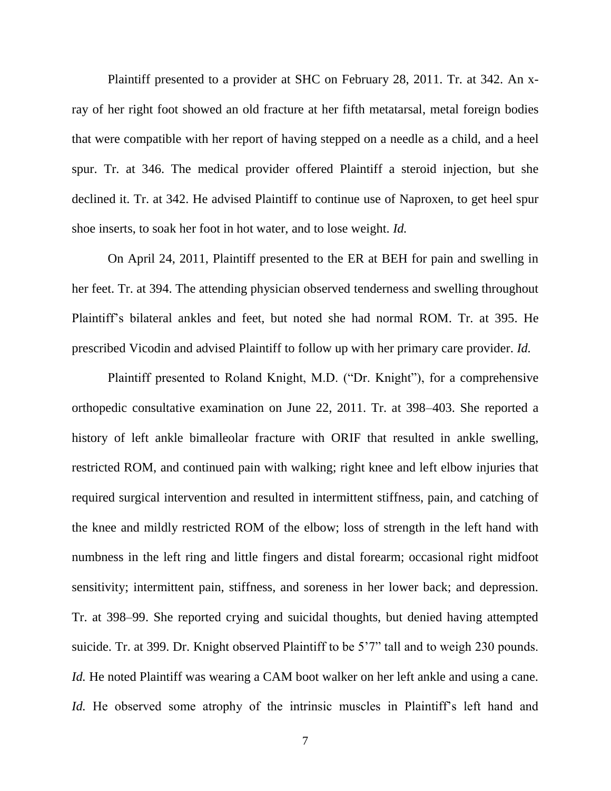Plaintiff presented to a provider at SHC on February 28, 2011. Tr. at 342. An xray of her right foot showed an old fracture at her fifth metatarsal, metal foreign bodies that were compatible with her report of having stepped on a needle as a child, and a heel spur. Tr. at 346. The medical provider offered Plaintiff a steroid injection, but she declined it. Tr. at 342. He advised Plaintiff to continue use of Naproxen, to get heel spur shoe inserts, to soak her foot in hot water, and to lose weight. *Id.*

On April 24, 2011, Plaintiff presented to the ER at BEH for pain and swelling in her feet. Tr. at 394. The attending physician observed tenderness and swelling throughout Plaintiff's bilateral ankles and feet, but noted she had normal ROM. Tr. at 395. He prescribed Vicodin and advised Plaintiff to follow up with her primary care provider. *Id.*

Plaintiff presented to Roland Knight, M.D. ("Dr. Knight"), for a comprehensive orthopedic consultative examination on June 22, 2011. Tr. at 398–403. She reported a history of left ankle bimalleolar fracture with ORIF that resulted in ankle swelling, restricted ROM, and continued pain with walking; right knee and left elbow injuries that required surgical intervention and resulted in intermittent stiffness, pain, and catching of the knee and mildly restricted ROM of the elbow; loss of strength in the left hand with numbness in the left ring and little fingers and distal forearm; occasional right midfoot sensitivity; intermittent pain, stiffness, and soreness in her lower back; and depression. Tr. at 398–99. She reported crying and suicidal thoughts, but denied having attempted suicide. Tr. at 399. Dr. Knight observed Plaintiff to be 5'7" tall and to weigh 230 pounds. *Id.* He noted Plaintiff was wearing a CAM boot walker on her left ankle and using a cane. *Id.* He observed some atrophy of the intrinsic muscles in Plaintiff's left hand and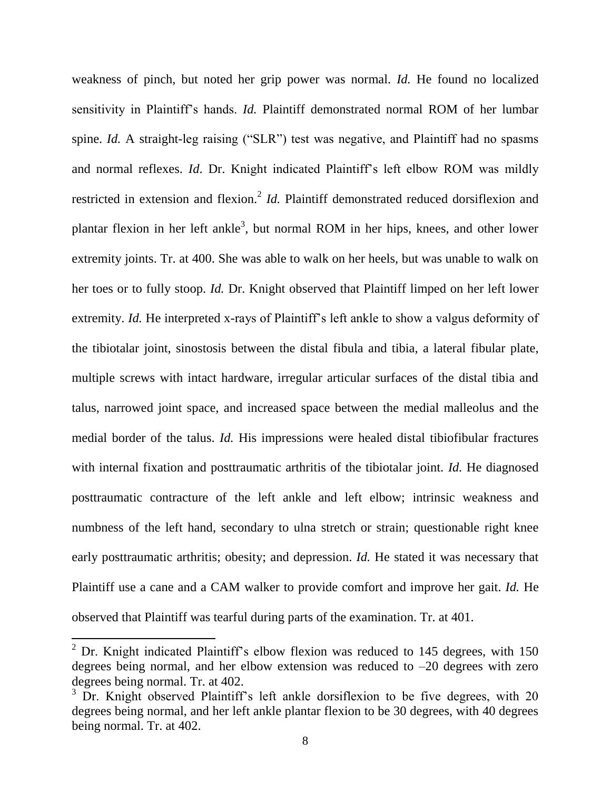weakness of pinch, but noted her grip power was normal. *Id.* He found no localized sensitivity in Plaintiff's hands. *Id.* Plaintiff demonstrated normal ROM of her lumbar spine. *Id.* A straight-leg raising ("SLR") test was negative, and Plaintiff had no spasms and normal reflexes. *Id*. Dr. Knight indicated Plaintiff's left elbow ROM was mildly restricted in extension and flexion.<sup>2</sup> *Id*. Plaintiff demonstrated reduced dorsiflexion and plantar flexion in her left ankle<sup>3</sup>, but normal ROM in her hips, knees, and other lower extremity joints. Tr. at 400. She was able to walk on her heels, but was unable to walk on her toes or to fully stoop. *Id.* Dr. Knight observed that Plaintiff limped on her left lower extremity. *Id.* He interpreted x-rays of Plaintiff's left ankle to show a valgus deformity of the tibiotalar joint, sinostosis between the distal fibula and tibia, a lateral fibular plate, multiple screws with intact hardware, irregular articular surfaces of the distal tibia and talus, narrowed joint space, and increased space between the medial malleolus and the medial border of the talus. *Id.* His impressions were healed distal tibiofibular fractures with internal fixation and posttraumatic arthritis of the tibiotalar joint. *Id.* He diagnosed posttraumatic contracture of the left ankle and left elbow; intrinsic weakness and numbness of the left hand, secondary to ulna stretch or strain; questionable right knee early posttraumatic arthritis; obesity; and depression. *Id.* He stated it was necessary that Plaintiff use a cane and a CAM walker to provide comfort and improve her gait. *Id.* He observed that Plaintiff was tearful during parts of the examination. Tr. at 401.

 $\overline{\phantom{a}}$ 

 $2^{2}$  Dr. Knight indicated Plaintiff's elbow flexion was reduced to 145 degrees, with 150 degrees being normal, and her elbow extension was reduced to  $-20$  degrees with zero degrees being normal. Tr. at 402.

<sup>&</sup>lt;sup>3</sup> Dr. Knight observed Plaintiff's left ankle dorsiflexion to be five degrees, with 20 degrees being normal, and her left ankle plantar flexion to be 30 degrees, with 40 degrees being normal. Tr. at 402.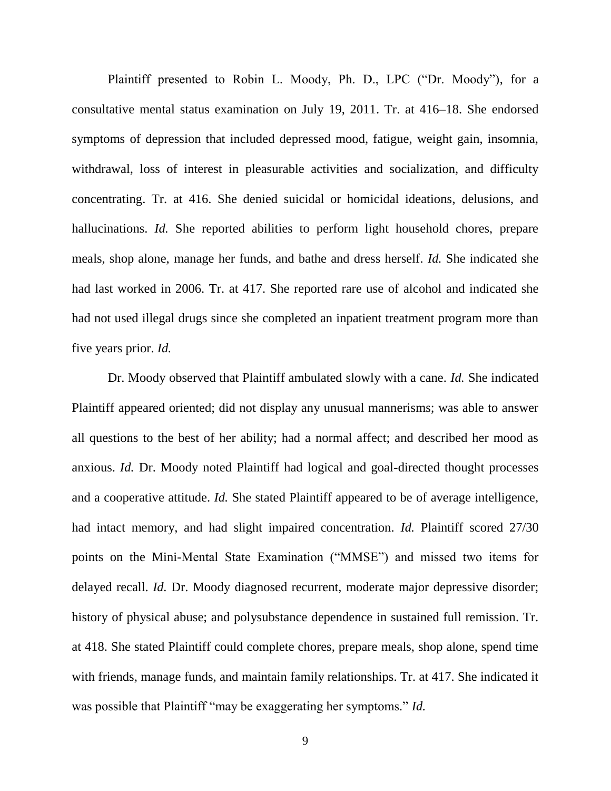Plaintiff presented to Robin L. Moody, Ph. D., LPC ("Dr. Moody"), for a consultative mental status examination on July 19, 2011. Tr. at 416–18. She endorsed symptoms of depression that included depressed mood, fatigue, weight gain, insomnia, withdrawal, loss of interest in pleasurable activities and socialization, and difficulty concentrating. Tr. at 416. She denied suicidal or homicidal ideations, delusions, and hallucinations. *Id.* She reported abilities to perform light household chores, prepare meals, shop alone, manage her funds, and bathe and dress herself. *Id.* She indicated she had last worked in 2006. Tr. at 417. She reported rare use of alcohol and indicated she had not used illegal drugs since she completed an inpatient treatment program more than five years prior. *Id.*

Dr. Moody observed that Plaintiff ambulated slowly with a cane. *Id.* She indicated Plaintiff appeared oriented; did not display any unusual mannerisms; was able to answer all questions to the best of her ability; had a normal affect; and described her mood as anxious. *Id.* Dr. Moody noted Plaintiff had logical and goal-directed thought processes and a cooperative attitude. *Id.* She stated Plaintiff appeared to be of average intelligence, had intact memory, and had slight impaired concentration. *Id.* Plaintiff scored 27/30 points on the Mini-Mental State Examination ("MMSE") and missed two items for delayed recall. *Id.* Dr. Moody diagnosed recurrent, moderate major depressive disorder; history of physical abuse; and polysubstance dependence in sustained full remission. Tr. at 418. She stated Plaintiff could complete chores, prepare meals, shop alone, spend time with friends, manage funds, and maintain family relationships. Tr. at 417. She indicated it was possible that Plaintiff "may be exaggerating her symptoms." *Id.*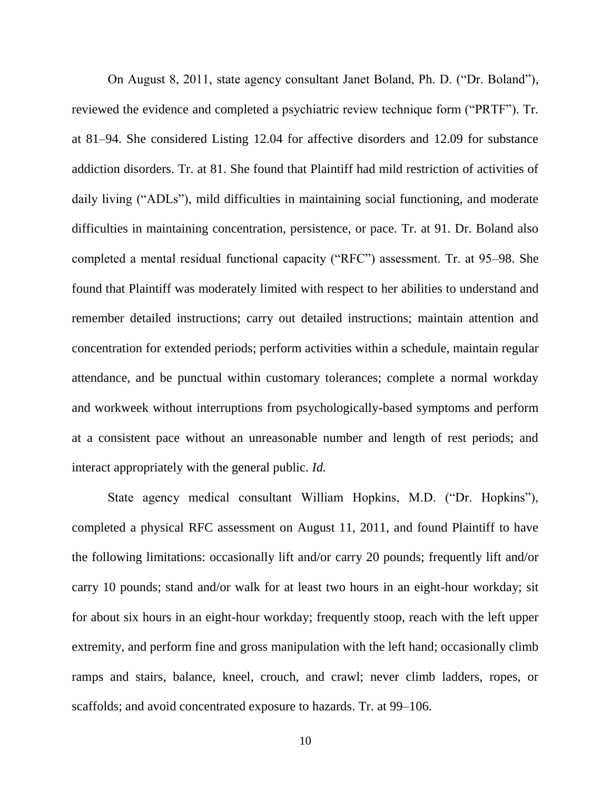On August 8, 2011, state agency consultant Janet Boland, Ph. D. ("Dr. Boland"), reviewed the evidence and completed a psychiatric review technique form ("PRTF"). Tr. at 81–94. She considered Listing 12.04 for affective disorders and 12.09 for substance addiction disorders. Tr. at 81. She found that Plaintiff had mild restriction of activities of daily living ("ADLs"), mild difficulties in maintaining social functioning, and moderate difficulties in maintaining concentration, persistence, or pace. Tr. at 91. Dr. Boland also completed a mental residual functional capacity ("RFC") assessment. Tr. at 95–98. She found that Plaintiff was moderately limited with respect to her abilities to understand and remember detailed instructions; carry out detailed instructions; maintain attention and concentration for extended periods; perform activities within a schedule, maintain regular attendance, and be punctual within customary tolerances; complete a normal workday and workweek without interruptions from psychologically-based symptoms and perform at a consistent pace without an unreasonable number and length of rest periods; and interact appropriately with the general public. *Id.*

State agency medical consultant William Hopkins, M.D. ("Dr. Hopkins"), completed a physical RFC assessment on August 11, 2011, and found Plaintiff to have the following limitations: occasionally lift and/or carry 20 pounds; frequently lift and/or carry 10 pounds; stand and/or walk for at least two hours in an eight-hour workday; sit for about six hours in an eight-hour workday; frequently stoop, reach with the left upper extremity, and perform fine and gross manipulation with the left hand; occasionally climb ramps and stairs, balance, kneel, crouch, and crawl; never climb ladders, ropes, or scaffolds; and avoid concentrated exposure to hazards. Tr. at 99–106.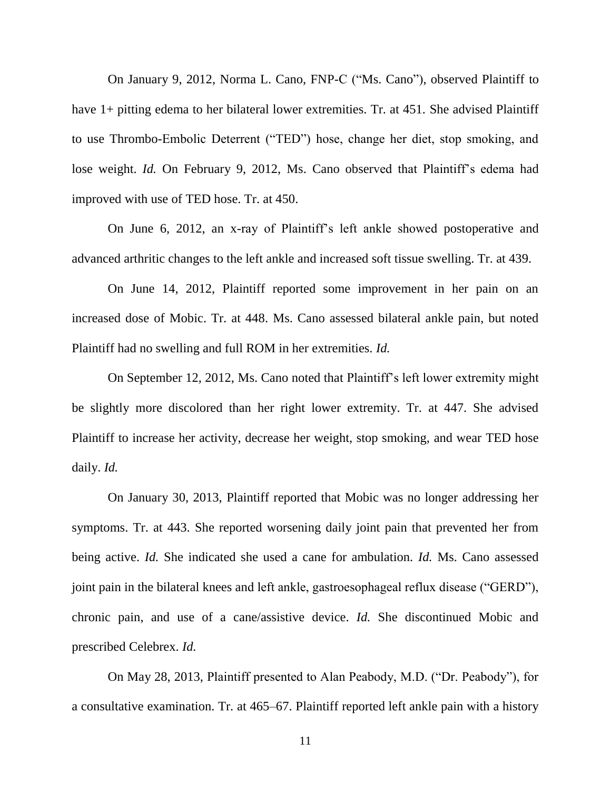On January 9, 2012, Norma L. Cano, FNP-C ("Ms. Cano"), observed Plaintiff to have 1+ pitting edema to her bilateral lower extremities. Tr. at 451. She advised Plaintiff to use Thrombo-Embolic Deterrent ("TED") hose, change her diet, stop smoking, and lose weight. *Id.* On February 9, 2012, Ms. Cano observed that Plaintiff's edema had improved with use of TED hose. Tr. at 450.

On June 6, 2012, an x-ray of Plaintiff's left ankle showed postoperative and advanced arthritic changes to the left ankle and increased soft tissue swelling. Tr. at 439.

On June 14, 2012, Plaintiff reported some improvement in her pain on an increased dose of Mobic. Tr. at 448. Ms. Cano assessed bilateral ankle pain, but noted Plaintiff had no swelling and full ROM in her extremities. *Id.*

On September 12, 2012, Ms. Cano noted that Plaintiff's left lower extremity might be slightly more discolored than her right lower extremity. Tr. at 447. She advised Plaintiff to increase her activity, decrease her weight, stop smoking, and wear TED hose daily. *Id.*

On January 30, 2013, Plaintiff reported that Mobic was no longer addressing her symptoms. Tr. at 443. She reported worsening daily joint pain that prevented her from being active. *Id.* She indicated she used a cane for ambulation. *Id.* Ms. Cano assessed joint pain in the bilateral knees and left ankle, gastroesophageal reflux disease ("GERD"), chronic pain, and use of a cane/assistive device. *Id.* She discontinued Mobic and prescribed Celebrex. *Id.*

On May 28, 2013, Plaintiff presented to Alan Peabody, M.D. ("Dr. Peabody"), for a consultative examination. Tr. at 465–67. Plaintiff reported left ankle pain with a history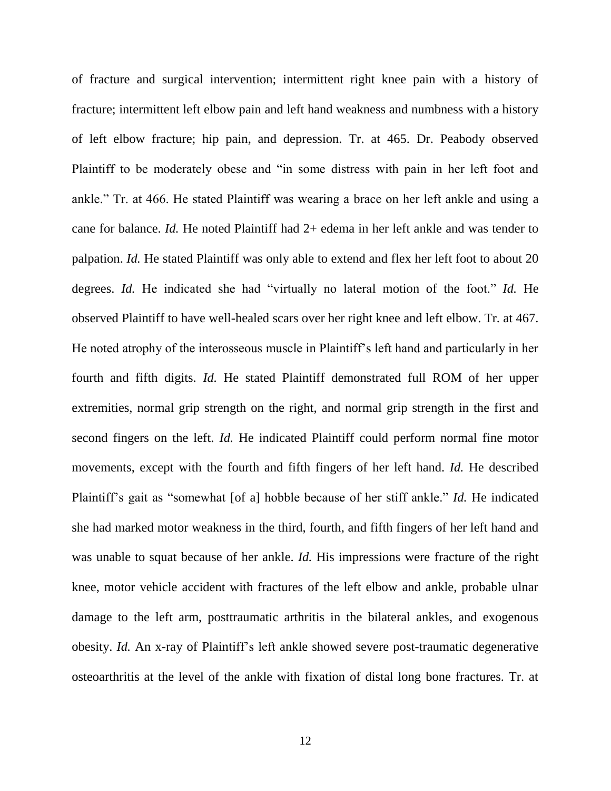of fracture and surgical intervention; intermittent right knee pain with a history of fracture; intermittent left elbow pain and left hand weakness and numbness with a history of left elbow fracture; hip pain, and depression. Tr. at 465. Dr. Peabody observed Plaintiff to be moderately obese and "in some distress with pain in her left foot and ankle." Tr. at 466. He stated Plaintiff was wearing a brace on her left ankle and using a cane for balance. *Id.* He noted Plaintiff had 2+ edema in her left ankle and was tender to palpation. *Id.* He stated Plaintiff was only able to extend and flex her left foot to about 20 degrees. *Id.* He indicated she had "virtually no lateral motion of the foot." *Id.* He observed Plaintiff to have well-healed scars over her right knee and left elbow. Tr. at 467. He noted atrophy of the interosseous muscle in Plaintiff's left hand and particularly in her fourth and fifth digits. *Id.* He stated Plaintiff demonstrated full ROM of her upper extremities, normal grip strength on the right, and normal grip strength in the first and second fingers on the left. *Id.* He indicated Plaintiff could perform normal fine motor movements, except with the fourth and fifth fingers of her left hand. *Id.* He described Plaintiff's gait as "somewhat [of a] hobble because of her stiff ankle." *Id.* He indicated she had marked motor weakness in the third, fourth, and fifth fingers of her left hand and was unable to squat because of her ankle. *Id.* His impressions were fracture of the right knee, motor vehicle accident with fractures of the left elbow and ankle, probable ulnar damage to the left arm, posttraumatic arthritis in the bilateral ankles, and exogenous obesity. *Id.* An x-ray of Plaintiff's left ankle showed severe post-traumatic degenerative osteoarthritis at the level of the ankle with fixation of distal long bone fractures. Tr. at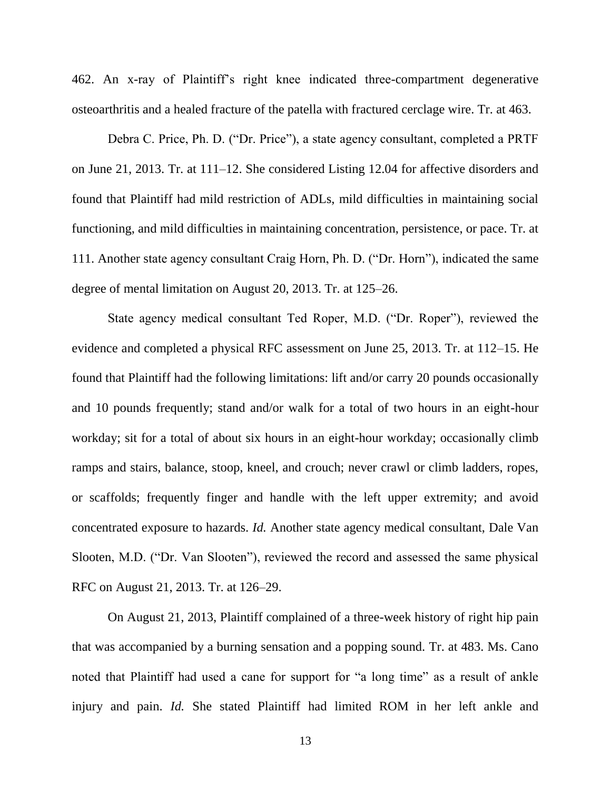462. An x-ray of Plaintiff's right knee indicated three-compartment degenerative osteoarthritis and a healed fracture of the patella with fractured cerclage wire. Tr. at 463.

Debra C. Price, Ph. D. ("Dr. Price"), a state agency consultant, completed a PRTF on June 21, 2013. Tr. at 111–12. She considered Listing 12.04 for affective disorders and found that Plaintiff had mild restriction of ADLs, mild difficulties in maintaining social functioning, and mild difficulties in maintaining concentration, persistence, or pace. Tr. at 111. Another state agency consultant Craig Horn, Ph. D. ("Dr. Horn"), indicated the same degree of mental limitation on August 20, 2013. Tr. at 125–26.

State agency medical consultant Ted Roper, M.D. ("Dr. Roper"), reviewed the evidence and completed a physical RFC assessment on June 25, 2013. Tr. at 112–15. He found that Plaintiff had the following limitations: lift and/or carry 20 pounds occasionally and 10 pounds frequently; stand and/or walk for a total of two hours in an eight-hour workday; sit for a total of about six hours in an eight-hour workday; occasionally climb ramps and stairs, balance, stoop, kneel, and crouch; never crawl or climb ladders, ropes, or scaffolds; frequently finger and handle with the left upper extremity; and avoid concentrated exposure to hazards. *Id.* Another state agency medical consultant, Dale Van Slooten, M.D. ("Dr. Van Slooten"), reviewed the record and assessed the same physical RFC on August 21, 2013. Tr. at 126–29.

On August 21, 2013, Plaintiff complained of a three-week history of right hip pain that was accompanied by a burning sensation and a popping sound. Tr. at 483. Ms. Cano noted that Plaintiff had used a cane for support for "a long time" as a result of ankle injury and pain. *Id.* She stated Plaintiff had limited ROM in her left ankle and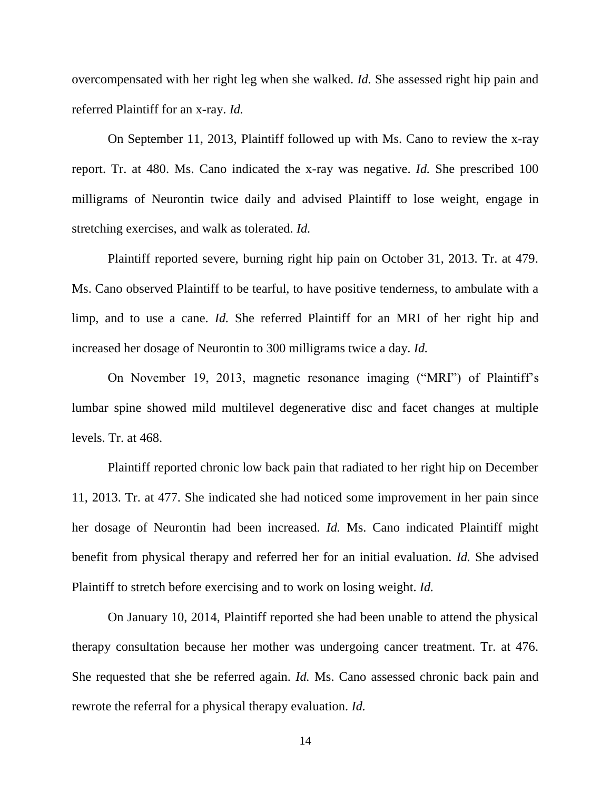overcompensated with her right leg when she walked. *Id.* She assessed right hip pain and referred Plaintiff for an x-ray. *Id.*

On September 11, 2013, Plaintiff followed up with Ms. Cano to review the x-ray report. Tr. at 480. Ms. Cano indicated the x-ray was negative. *Id.* She prescribed 100 milligrams of Neurontin twice daily and advised Plaintiff to lose weight, engage in stretching exercises, and walk as tolerated. *Id.*

Plaintiff reported severe, burning right hip pain on October 31, 2013. Tr. at 479. Ms. Cano observed Plaintiff to be tearful, to have positive tenderness, to ambulate with a limp, and to use a cane. *Id.* She referred Plaintiff for an MRI of her right hip and increased her dosage of Neurontin to 300 milligrams twice a day. *Id.* 

On November 19, 2013, magnetic resonance imaging ("MRI") of Plaintiff's lumbar spine showed mild multilevel degenerative disc and facet changes at multiple levels. Tr. at 468.

Plaintiff reported chronic low back pain that radiated to her right hip on December 11, 2013. Tr. at 477. She indicated she had noticed some improvement in her pain since her dosage of Neurontin had been increased. *Id.* Ms. Cano indicated Plaintiff might benefit from physical therapy and referred her for an initial evaluation. *Id.* She advised Plaintiff to stretch before exercising and to work on losing weight. *Id.*

On January 10, 2014, Plaintiff reported she had been unable to attend the physical therapy consultation because her mother was undergoing cancer treatment. Tr. at 476. She requested that she be referred again. *Id.* Ms. Cano assessed chronic back pain and rewrote the referral for a physical therapy evaluation. *Id.*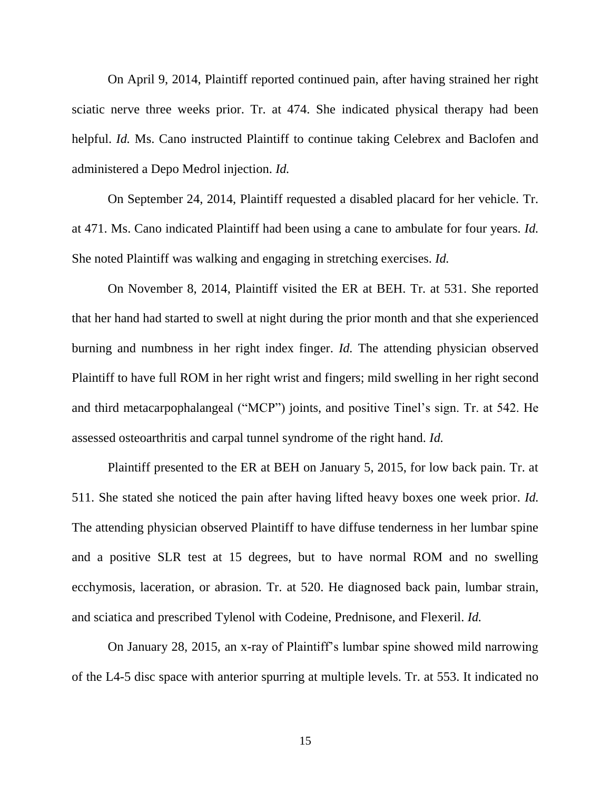On April 9, 2014, Plaintiff reported continued pain, after having strained her right sciatic nerve three weeks prior. Tr. at 474. She indicated physical therapy had been helpful. *Id.* Ms. Cano instructed Plaintiff to continue taking Celebrex and Baclofen and administered a Depo Medrol injection. *Id.*

On September 24, 2014, Plaintiff requested a disabled placard for her vehicle. Tr. at 471. Ms. Cano indicated Plaintiff had been using a cane to ambulate for four years. *Id.* She noted Plaintiff was walking and engaging in stretching exercises. *Id.* 

On November 8, 2014, Plaintiff visited the ER at BEH. Tr. at 531. She reported that her hand had started to swell at night during the prior month and that she experienced burning and numbness in her right index finger. *Id.* The attending physician observed Plaintiff to have full ROM in her right wrist and fingers; mild swelling in her right second and third metacarpophalangeal ("MCP") joints, and positive Tinel's sign. Tr. at 542. He assessed osteoarthritis and carpal tunnel syndrome of the right hand. *Id.*

Plaintiff presented to the ER at BEH on January 5, 2015, for low back pain. Tr. at 511. She stated she noticed the pain after having lifted heavy boxes one week prior. *Id.* The attending physician observed Plaintiff to have diffuse tenderness in her lumbar spine and a positive SLR test at 15 degrees, but to have normal ROM and no swelling ecchymosis, laceration, or abrasion. Tr. at 520. He diagnosed back pain, lumbar strain, and sciatica and prescribed Tylenol with Codeine, Prednisone, and Flexeril. *Id.*

On January 28, 2015, an x-ray of Plaintiff's lumbar spine showed mild narrowing of the L4-5 disc space with anterior spurring at multiple levels. Tr. at 553. It indicated no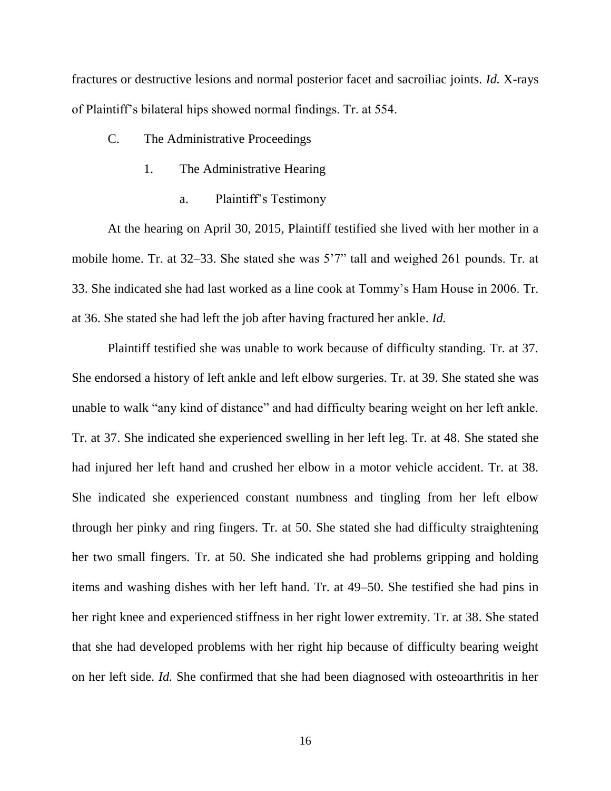fractures or destructive lesions and normal posterior facet and sacroiliac joints. *Id.* X-rays of Plaintiff's bilateral hips showed normal findings. Tr. at 554.

- C. The Administrative Proceedings
	- 1. The Administrative Hearing
		- a. Plaintiff's Testimony

At the hearing on April 30, 2015, Plaintiff testified she lived with her mother in a mobile home. Tr. at 32–33. She stated she was 5'7" tall and weighed 261 pounds. Tr. at 33. She indicated she had last worked as a line cook at Tommy's Ham House in 2006. Tr. at 36. She stated she had left the job after having fractured her ankle. *Id.*

Plaintiff testified she was unable to work because of difficulty standing. Tr. at 37. She endorsed a history of left ankle and left elbow surgeries. Tr. at 39. She stated she was unable to walk "any kind of distance" and had difficulty bearing weight on her left ankle. Tr. at 37. She indicated she experienced swelling in her left leg. Tr. at 48. She stated she had injured her left hand and crushed her elbow in a motor vehicle accident. Tr. at 38. She indicated she experienced constant numbness and tingling from her left elbow through her pinky and ring fingers. Tr. at 50. She stated she had difficulty straightening her two small fingers. Tr. at 50. She indicated she had problems gripping and holding items and washing dishes with her left hand. Tr. at 49–50. She testified she had pins in her right knee and experienced stiffness in her right lower extremity. Tr. at 38. She stated that she had developed problems with her right hip because of difficulty bearing weight on her left side. *Id.* She confirmed that she had been diagnosed with osteoarthritis in her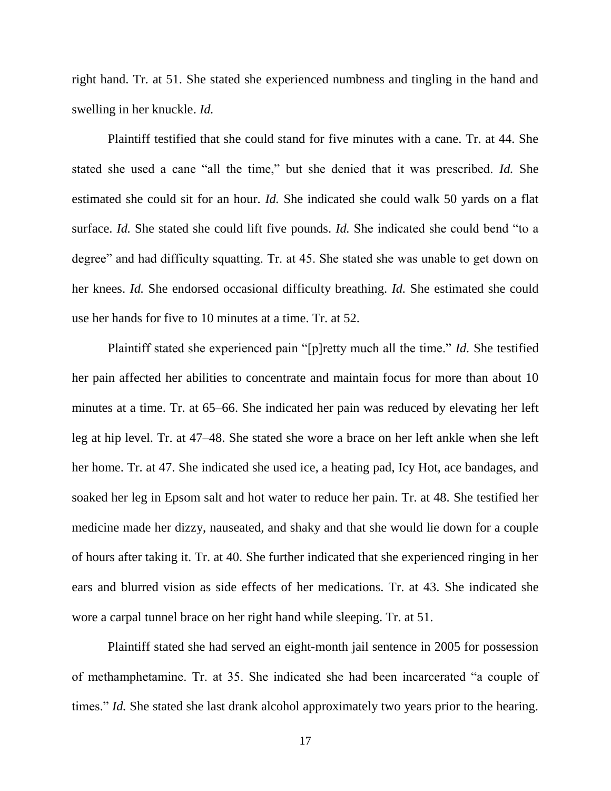right hand. Tr. at 51. She stated she experienced numbness and tingling in the hand and swelling in her knuckle. *Id.*

Plaintiff testified that she could stand for five minutes with a cane. Tr. at 44. She stated she used a cane "all the time," but she denied that it was prescribed. *Id.* She estimated she could sit for an hour. *Id.* She indicated she could walk 50 yards on a flat surface. *Id.* She stated she could lift five pounds. *Id.* She indicated she could bend "to a degree" and had difficulty squatting. Tr. at 45. She stated she was unable to get down on her knees. *Id.* She endorsed occasional difficulty breathing. *Id.* She estimated she could use her hands for five to 10 minutes at a time. Tr. at 52.

Plaintiff stated she experienced pain "[p]retty much all the time." *Id.* She testified her pain affected her abilities to concentrate and maintain focus for more than about 10 minutes at a time. Tr. at 65–66. She indicated her pain was reduced by elevating her left leg at hip level. Tr. at 47–48. She stated she wore a brace on her left ankle when she left her home. Tr. at 47. She indicated she used ice, a heating pad, Icy Hot, ace bandages, and soaked her leg in Epsom salt and hot water to reduce her pain. Tr. at 48. She testified her medicine made her dizzy, nauseated, and shaky and that she would lie down for a couple of hours after taking it. Tr. at 40. She further indicated that she experienced ringing in her ears and blurred vision as side effects of her medications. Tr. at 43. She indicated she wore a carpal tunnel brace on her right hand while sleeping. Tr. at 51.

Plaintiff stated she had served an eight-month jail sentence in 2005 for possession of methamphetamine. Tr. at 35. She indicated she had been incarcerated "a couple of times." *Id.* She stated she last drank alcohol approximately two years prior to the hearing.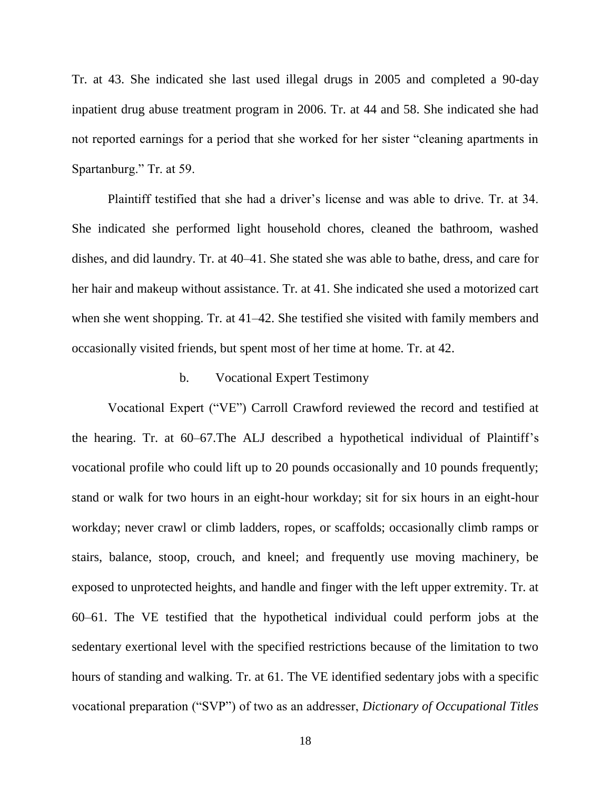Tr. at 43. She indicated she last used illegal drugs in 2005 and completed a 90-day inpatient drug abuse treatment program in 2006. Tr. at 44 and 58. She indicated she had not reported earnings for a period that she worked for her sister "cleaning apartments in Spartanburg." Tr. at 59.

Plaintiff testified that she had a driver's license and was able to drive. Tr. at 34. She indicated she performed light household chores, cleaned the bathroom, washed dishes, and did laundry. Tr. at 40–41. She stated she was able to bathe, dress, and care for her hair and makeup without assistance. Tr. at 41. She indicated she used a motorized cart when she went shopping. Tr. at 41–42. She testified she visited with family members and occasionally visited friends, but spent most of her time at home. Tr. at 42.

#### b. Vocational Expert Testimony

Vocational Expert ("VE") Carroll Crawford reviewed the record and testified at the hearing. Tr. at 60–67.The ALJ described a hypothetical individual of Plaintiff's vocational profile who could lift up to 20 pounds occasionally and 10 pounds frequently; stand or walk for two hours in an eight-hour workday; sit for six hours in an eight-hour workday; never crawl or climb ladders, ropes, or scaffolds; occasionally climb ramps or stairs, balance, stoop, crouch, and kneel; and frequently use moving machinery, be exposed to unprotected heights, and handle and finger with the left upper extremity. Tr. at 60–61. The VE testified that the hypothetical individual could perform jobs at the sedentary exertional level with the specified restrictions because of the limitation to two hours of standing and walking. Tr. at 61. The VE identified sedentary jobs with a specific vocational preparation ("SVP") of two as an addresser, *Dictionary of Occupational Titles*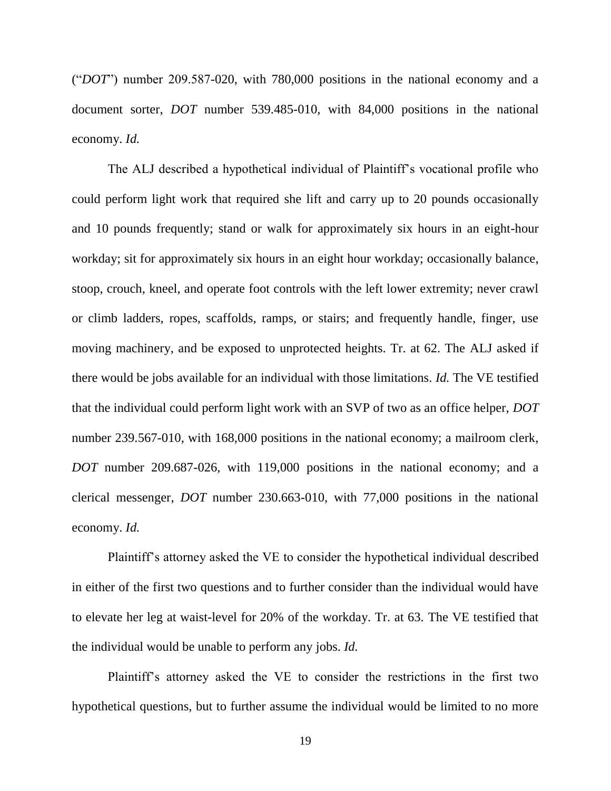("*DOT*") number 209.587-020, with 780,000 positions in the national economy and a document sorter, *DOT* number 539.485-010, with 84,000 positions in the national economy. *Id.*

The ALJ described a hypothetical individual of Plaintiff's vocational profile who could perform light work that required she lift and carry up to 20 pounds occasionally and 10 pounds frequently; stand or walk for approximately six hours in an eight-hour workday; sit for approximately six hours in an eight hour workday; occasionally balance, stoop, crouch, kneel, and operate foot controls with the left lower extremity; never crawl or climb ladders, ropes, scaffolds, ramps, or stairs; and frequently handle, finger, use moving machinery, and be exposed to unprotected heights. Tr. at 62. The ALJ asked if there would be jobs available for an individual with those limitations. *Id.* The VE testified that the individual could perform light work with an SVP of two as an office helper, *DOT* number 239.567-010, with 168,000 positions in the national economy; a mailroom clerk, *DOT* number 209.687-026, with 119,000 positions in the national economy; and a clerical messenger, *DOT* number 230.663-010, with 77,000 positions in the national economy. *Id.*

Plaintiff's attorney asked the VE to consider the hypothetical individual described in either of the first two questions and to further consider than the individual would have to elevate her leg at waist-level for 20% of the workday. Tr. at 63. The VE testified that the individual would be unable to perform any jobs. *Id.*

Plaintiff's attorney asked the VE to consider the restrictions in the first two hypothetical questions, but to further assume the individual would be limited to no more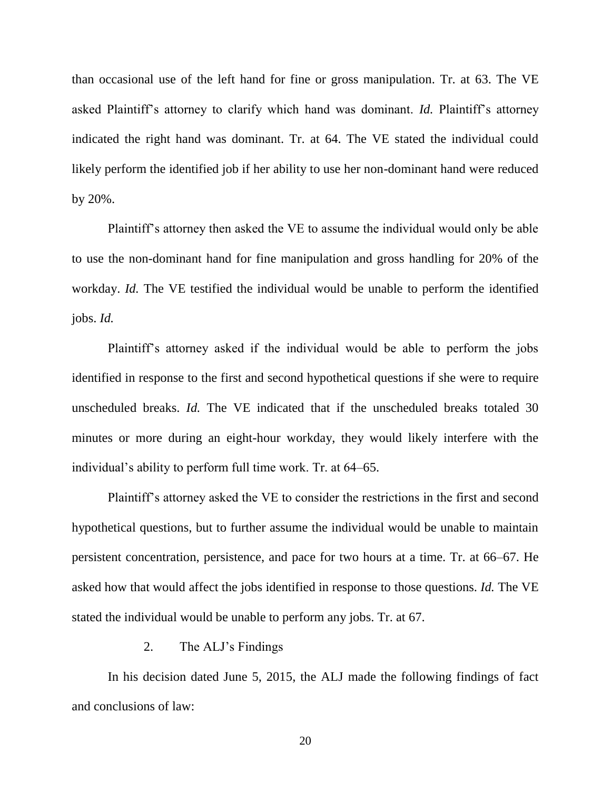than occasional use of the left hand for fine or gross manipulation. Tr. at 63. The VE asked Plaintiff's attorney to clarify which hand was dominant. *Id.* Plaintiff's attorney indicated the right hand was dominant. Tr. at 64. The VE stated the individual could likely perform the identified job if her ability to use her non-dominant hand were reduced by 20%.

Plaintiff's attorney then asked the VE to assume the individual would only be able to use the non-dominant hand for fine manipulation and gross handling for 20% of the workday. *Id.* The VE testified the individual would be unable to perform the identified jobs. *Id.*

Plaintiff's attorney asked if the individual would be able to perform the jobs identified in response to the first and second hypothetical questions if she were to require unscheduled breaks. *Id.* The VE indicated that if the unscheduled breaks totaled 30 minutes or more during an eight-hour workday, they would likely interfere with the individual's ability to perform full time work. Tr. at 64–65.

Plaintiff's attorney asked the VE to consider the restrictions in the first and second hypothetical questions, but to further assume the individual would be unable to maintain persistent concentration, persistence, and pace for two hours at a time. Tr. at 66–67. He asked how that would affect the jobs identified in response to those questions. *Id.* The VE stated the individual would be unable to perform any jobs. Tr. at 67.

#### 2. The ALJ's Findings

In his decision dated June 5, 2015, the ALJ made the following findings of fact and conclusions of law: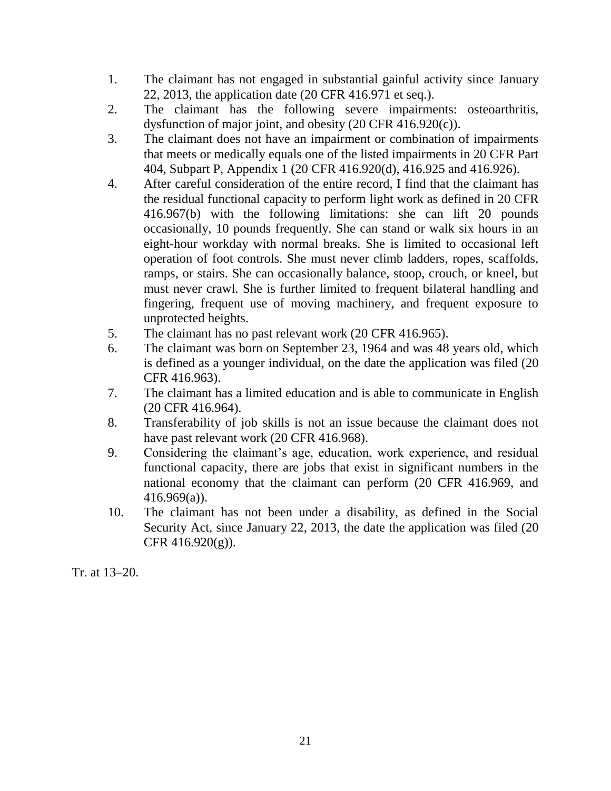- 1. The claimant has not engaged in substantial gainful activity since January 22, 2013, the application date (20 CFR 416.971 et seq.).
- 2. The claimant has the following severe impairments: osteoarthritis, dysfunction of major joint, and obesity (20 CFR 416.920(c)).
- 3. The claimant does not have an impairment or combination of impairments that meets or medically equals one of the listed impairments in 20 CFR Part 404, Subpart P, Appendix 1 (20 CFR 416.920(d), 416.925 and 416.926).
- 4. After careful consideration of the entire record, I find that the claimant has the residual functional capacity to perform light work as defined in 20 CFR 416.967(b) with the following limitations: she can lift 20 pounds occasionally, 10 pounds frequently. She can stand or walk six hours in an eight-hour workday with normal breaks. She is limited to occasional left operation of foot controls. She must never climb ladders, ropes, scaffolds, ramps, or stairs. She can occasionally balance, stoop, crouch, or kneel, but must never crawl. She is further limited to frequent bilateral handling and fingering, frequent use of moving machinery, and frequent exposure to unprotected heights.
- 5. The claimant has no past relevant work (20 CFR 416.965).
- 6. The claimant was born on September 23, 1964 and was 48 years old, which is defined as a younger individual, on the date the application was filed (20 CFR 416.963).
- 7. The claimant has a limited education and is able to communicate in English (20 CFR 416.964).
- 8. Transferability of job skills is not an issue because the claimant does not have past relevant work (20 CFR 416.968).
- 9. Considering the claimant's age, education, work experience, and residual functional capacity, there are jobs that exist in significant numbers in the national economy that the claimant can perform (20 CFR 416.969, and 416.969(a)).
- 10. The claimant has not been under a disability, as defined in the Social Security Act, since January 22, 2013, the date the application was filed (20 CFR 416.920(g)).

Tr. at 13–20.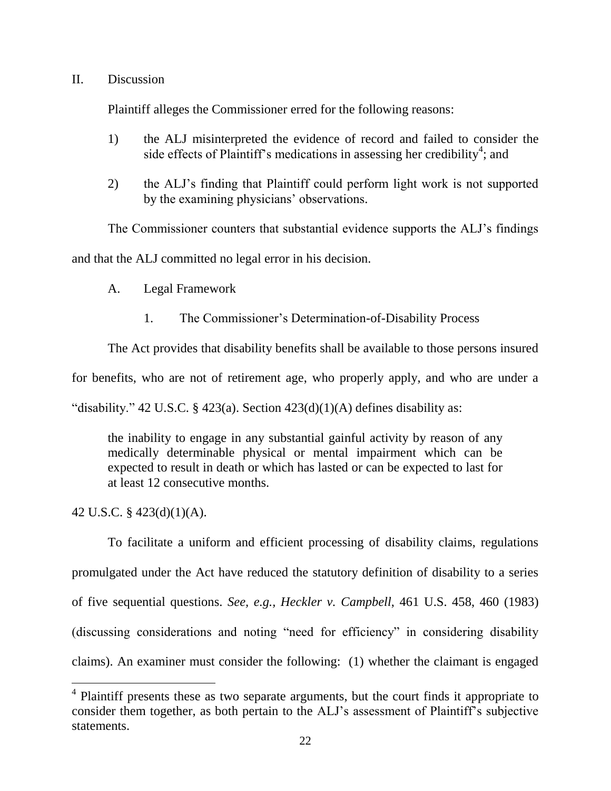# II. Discussion

Plaintiff alleges the Commissioner erred for the following reasons:

- 1) the ALJ misinterpreted the evidence of record and failed to consider the side effects of Plaintiff's medications in assessing her credibility<sup>4</sup>; and
- 2) the ALJ's finding that Plaintiff could perform light work is not supported by the examining physicians' observations.

The Commissioner counters that substantial evidence supports the ALJ's findings

and that the ALJ committed no legal error in his decision.

- A. Legal Framework
	- 1. The Commissioner's Determination-of-Disability Process

The Act provides that disability benefits shall be available to those persons insured

for benefits, who are not of retirement age, who properly apply, and who are under a

"disability." 42 U.S.C. § 423(a). Section  $423(d)(1)(A)$  defines disability as:

the inability to engage in any substantial gainful activity by reason of any medically determinable physical or mental impairment which can be expected to result in death or which has lasted or can be expected to last for at least 12 consecutive months.

42 U.S.C. § 423(d)(1)(A).

 $\overline{a}$ 

To facilitate a uniform and efficient processing of disability claims, regulations promulgated under the Act have reduced the statutory definition of disability to a series of five sequential questions. *See, e.g., Heckler v. Campbell*, 461 U.S. 458, 460 (1983) (discussing considerations and noting "need for efficiency" in considering disability claims). An examiner must consider the following: (1) whether the claimant is engaged

<sup>&</sup>lt;sup>4</sup> Plaintiff presents these as two separate arguments, but the court finds it appropriate to consider them together, as both pertain to the ALJ's assessment of Plaintiff's subjective statements.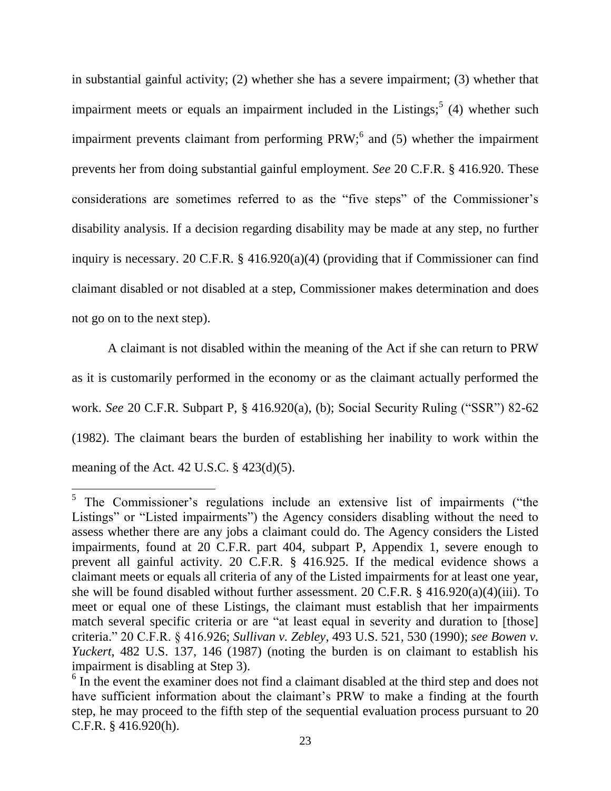in substantial gainful activity; (2) whether she has a severe impairment; (3) whether that impairment meets or equals an impairment included in the Listings;  $(4)$  whether such impairment prevents claimant from performing  $PRW$ ; and (5) whether the impairment prevents her from doing substantial gainful employment. *See* 20 C.F.R. § 416.920. These considerations are sometimes referred to as the "five steps" of the Commissioner's disability analysis. If a decision regarding disability may be made at any step, no further inquiry is necessary. 20 C.F.R. § 416.920(a)(4) (providing that if Commissioner can find claimant disabled or not disabled at a step, Commissioner makes determination and does not go on to the next step).

A claimant is not disabled within the meaning of the Act if she can return to PRW as it is customarily performed in the economy or as the claimant actually performed the work. *See* 20 C.F.R. Subpart P, § 416.920(a), (b); Social Security Ruling ("SSR") 82-62 (1982). The claimant bears the burden of establishing her inability to work within the meaning of the Act. 42 U.S.C.  $\S$  423(d)(5).

<sup>&</sup>lt;sup>5</sup> The Commissioner's regulations include an extensive list of impairments ("the Listings" or "Listed impairments") the Agency considers disabling without the need to assess whether there are any jobs a claimant could do. The Agency considers the Listed impairments, found at 20 C.F.R. part 404, subpart P, Appendix 1, severe enough to prevent all gainful activity. 20 C.F.R. § 416.925. If the medical evidence shows a claimant meets or equals all criteria of any of the Listed impairments for at least one year, she will be found disabled without further assessment. 20 C.F.R. § 416.920(a)(4)(iii). To meet or equal one of these Listings, the claimant must establish that her impairments match several specific criteria or are "at least equal in severity and duration to [those] criteria." 20 C.F.R. § 416.926; *Sullivan v. Zebley*, 493 U.S. 521, 530 (1990); *see Bowen v. Yuckert*, 482 U.S. 137, 146 (1987) (noting the burden is on claimant to establish his impairment is disabling at Step 3).

<sup>&</sup>lt;sup>6</sup> In the event the examiner does not find a claimant disabled at the third step and does not have sufficient information about the claimant's PRW to make a finding at the fourth step, he may proceed to the fifth step of the sequential evaluation process pursuant to 20 C.F.R. § 416.920(h).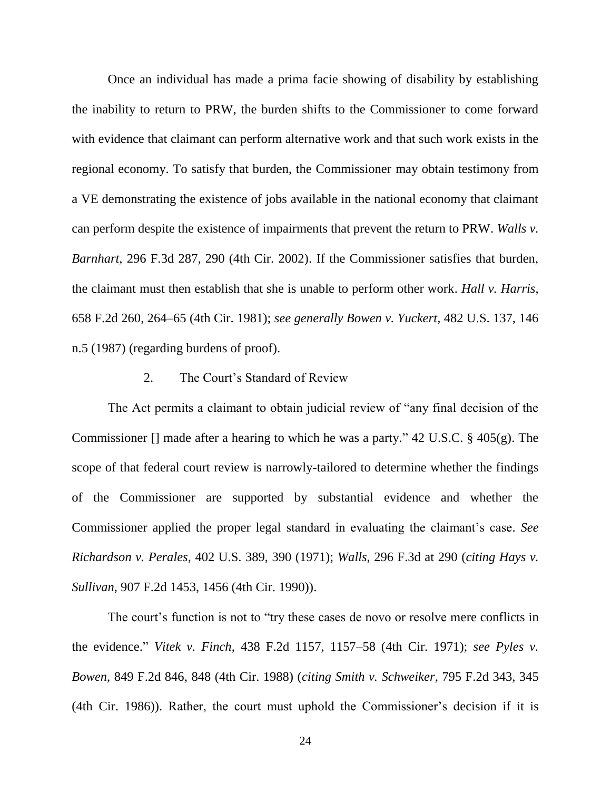Once an individual has made a prima facie showing of disability by establishing the inability to return to PRW, the burden shifts to the Commissioner to come forward with evidence that claimant can perform alternative work and that such work exists in the regional economy. To satisfy that burden, the Commissioner may obtain testimony from a VE demonstrating the existence of jobs available in the national economy that claimant can perform despite the existence of impairments that prevent the return to PRW. *Walls v. Barnhart*, 296 F.3d 287, 290 (4th Cir. 2002). If the Commissioner satisfies that burden, the claimant must then establish that she is unable to perform other work. *Hall v. Harris*, 658 F.2d 260, 264–65 (4th Cir. 1981); *see generally Bowen v. Yuckert*, 482 U.S. 137, 146 n.5 (1987) (regarding burdens of proof).

## 2. The Court's Standard of Review

The Act permits a claimant to obtain judicial review of "any final decision of the Commissioner [] made after a hearing to which he was a party." 42 U.S.C. § 405(g). The scope of that federal court review is narrowly-tailored to determine whether the findings of the Commissioner are supported by substantial evidence and whether the Commissioner applied the proper legal standard in evaluating the claimant's case. *See Richardson v. Perales*, 402 U.S. 389, 390 (1971); *Walls*, 296 F.3d at 290 (*citing Hays v. Sullivan*, 907 F.2d 1453, 1456 (4th Cir. 1990)).

The court's function is not to "try these cases de novo or resolve mere conflicts in the evidence." *Vitek v. Finch*, 438 F.2d 1157, 1157–58 (4th Cir. 1971); *see Pyles v. Bowen*, 849 F.2d 846, 848 (4th Cir. 1988) (*citing Smith v. Schweiker*, 795 F.2d 343, 345 (4th Cir. 1986)). Rather, the court must uphold the Commissioner's decision if it is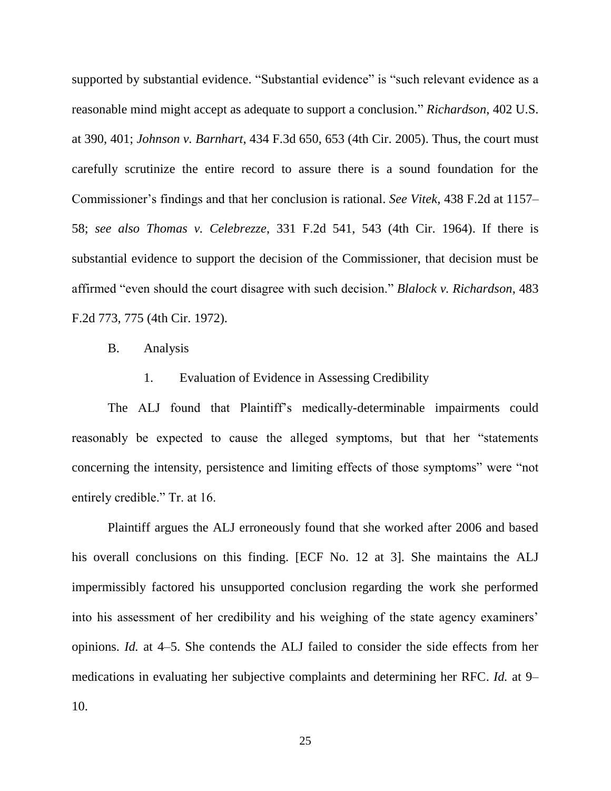supported by substantial evidence. "Substantial evidence" is "such relevant evidence as a reasonable mind might accept as adequate to support a conclusion." *Richardson*, 402 U.S. at 390, 401; *Johnson v. Barnhart*, 434 F.3d 650, 653 (4th Cir. 2005). Thus, the court must carefully scrutinize the entire record to assure there is a sound foundation for the Commissioner's findings and that her conclusion is rational. *See Vitek*, 438 F.2d at 1157– 58; *see also Thomas v. Celebrezze*, 331 F.2d 541, 543 (4th Cir. 1964). If there is substantial evidence to support the decision of the Commissioner, that decision must be affirmed "even should the court disagree with such decision." *Blalock v. Richardson*, 483 F.2d 773, 775 (4th Cir. 1972).

B. Analysis

#### 1. Evaluation of Evidence in Assessing Credibility

The ALJ found that Plaintiff's medically-determinable impairments could reasonably be expected to cause the alleged symptoms, but that her "statements concerning the intensity, persistence and limiting effects of those symptoms" were "not entirely credible." Tr. at 16.

Plaintiff argues the ALJ erroneously found that she worked after 2006 and based his overall conclusions on this finding. [ECF No. 12 at 3]. She maintains the ALJ impermissibly factored his unsupported conclusion regarding the work she performed into his assessment of her credibility and his weighing of the state agency examiners' opinions. *Id.* at 4–5. She contends the ALJ failed to consider the side effects from her medications in evaluating her subjective complaints and determining her RFC. *Id.* at 9– 10.

25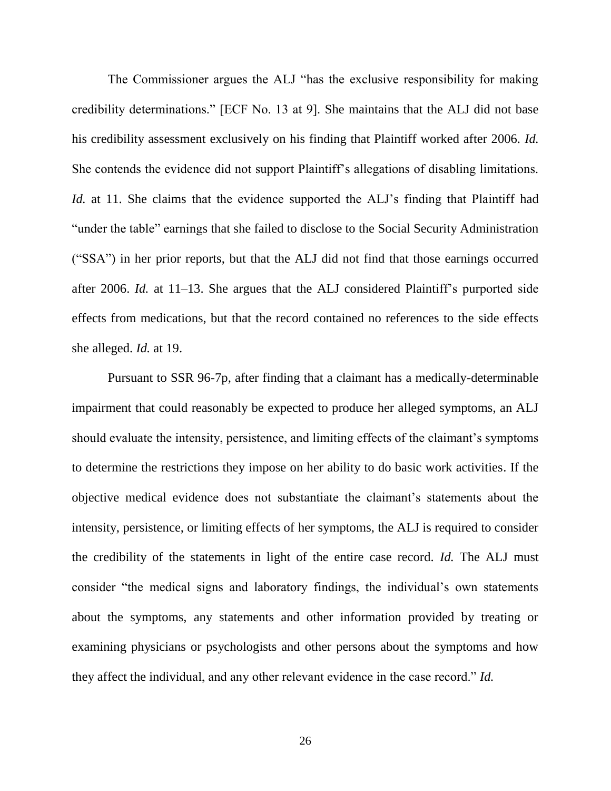The Commissioner argues the ALJ "has the exclusive responsibility for making credibility determinations." [ECF No. 13 at 9]. She maintains that the ALJ did not base his credibility assessment exclusively on his finding that Plaintiff worked after 2006. *Id.* She contends the evidence did not support Plaintiff's allegations of disabling limitations. *Id.* at 11. She claims that the evidence supported the ALJ's finding that Plaintiff had "under the table" earnings that she failed to disclose to the Social Security Administration ("SSA") in her prior reports, but that the ALJ did not find that those earnings occurred after 2006. *Id.* at 11–13. She argues that the ALJ considered Plaintiff's purported side effects from medications, but that the record contained no references to the side effects she alleged. *Id.* at 19.

Pursuant to SSR 96-7p, after finding that a claimant has a medically-determinable impairment that could reasonably be expected to produce her alleged symptoms, an ALJ should evaluate the intensity, persistence, and limiting effects of the claimant's symptoms to determine the restrictions they impose on her ability to do basic work activities. If the objective medical evidence does not substantiate the claimant's statements about the intensity, persistence, or limiting effects of her symptoms, the ALJ is required to consider the credibility of the statements in light of the entire case record. *Id.* The ALJ must consider "the medical signs and laboratory findings, the individual's own statements about the symptoms, any statements and other information provided by treating or examining physicians or psychologists and other persons about the symptoms and how they affect the individual, and any other relevant evidence in the case record." *Id.*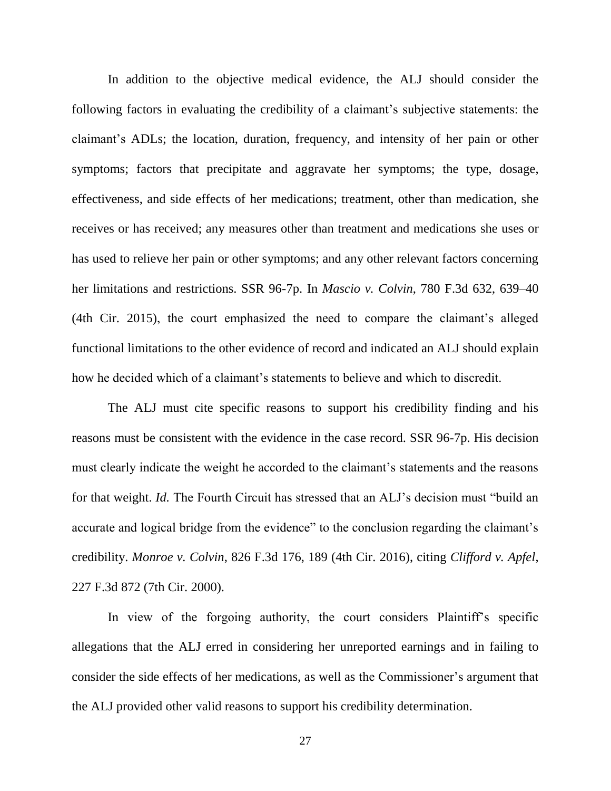In addition to the objective medical evidence, the ALJ should consider the following factors in evaluating the credibility of a claimant's subjective statements: the claimant's ADLs; the location, duration, frequency, and intensity of her pain or other symptoms; factors that precipitate and aggravate her symptoms; the type, dosage, effectiveness, and side effects of her medications; treatment, other than medication, she receives or has received; any measures other than treatment and medications she uses or has used to relieve her pain or other symptoms; and any other relevant factors concerning her limitations and restrictions. SSR 96-7p. In *Mascio v. Colvin*, 780 F.3d 632, 639–40 (4th Cir. 2015), the court emphasized the need to compare the claimant's alleged functional limitations to the other evidence of record and indicated an ALJ should explain how he decided which of a claimant's statements to believe and which to discredit.

The ALJ must cite specific reasons to support his credibility finding and his reasons must be consistent with the evidence in the case record. SSR 96-7p. His decision must clearly indicate the weight he accorded to the claimant's statements and the reasons for that weight. *Id.* The Fourth Circuit has stressed that an ALJ's decision must "build an accurate and logical bridge from the evidence" to the conclusion regarding the claimant's credibility. *Monroe v. Colvin*, 826 F.3d 176, 189 (4th Cir. 2016), citing *Clifford v. Apfel*, 227 F.3d 872 (7th Cir. 2000).

In view of the forgoing authority, the court considers Plaintiff's specific allegations that the ALJ erred in considering her unreported earnings and in failing to consider the side effects of her medications, as well as the Commissioner's argument that the ALJ provided other valid reasons to support his credibility determination.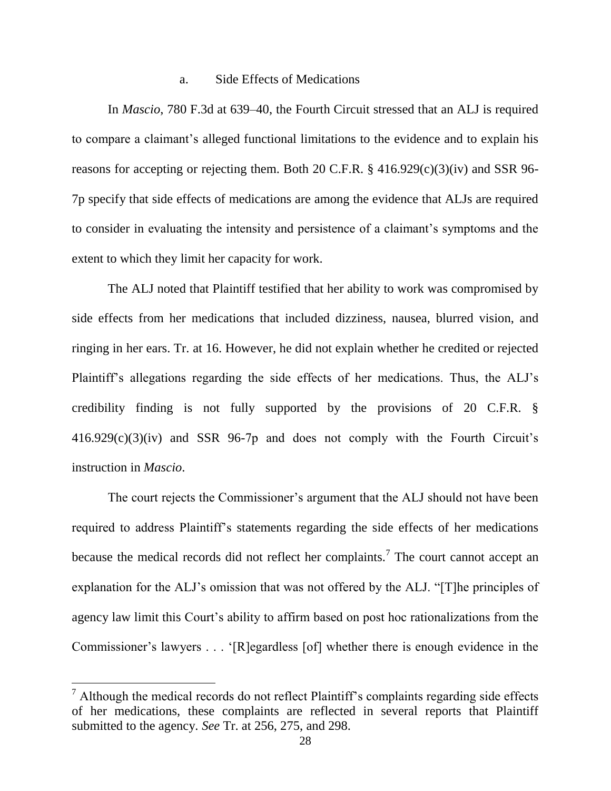## a. Side Effects of Medications

In *Mascio*, 780 F.3d at 639–40, the Fourth Circuit stressed that an ALJ is required to compare a claimant's alleged functional limitations to the evidence and to explain his reasons for accepting or rejecting them. Both 20 C.F.R. § 416.929(c)(3)(iv) and SSR 96- 7p specify that side effects of medications are among the evidence that ALJs are required to consider in evaluating the intensity and persistence of a claimant's symptoms and the extent to which they limit her capacity for work.

The ALJ noted that Plaintiff testified that her ability to work was compromised by side effects from her medications that included dizziness, nausea, blurred vision, and ringing in her ears. Tr. at 16. However, he did not explain whether he credited or rejected Plaintiff's allegations regarding the side effects of her medications. Thus, the ALJ's credibility finding is not fully supported by the provisions of 20 C.F.R. § 416.929(c)(3)(iv) and SSR 96-7p and does not comply with the Fourth Circuit's instruction in *Mascio*.

The court rejects the Commissioner's argument that the ALJ should not have been required to address Plaintiff's statements regarding the side effects of her medications because the medical records did not reflect her complaints.<sup>7</sup> The court cannot accept an explanation for the ALJ's omission that was not offered by the ALJ. "[T]he principles of agency law limit this Court's ability to affirm based on post hoc rationalizations from the Commissioner's lawyers . . . '[R]egardless [of] whether there is enough evidence in the

 $\overline{a}$ 

 $<sup>7</sup>$  Although the medical records do not reflect Plaintiff's complaints regarding side effects</sup> of her medications, these complaints are reflected in several reports that Plaintiff submitted to the agency. *See* Tr. at 256, 275, and 298.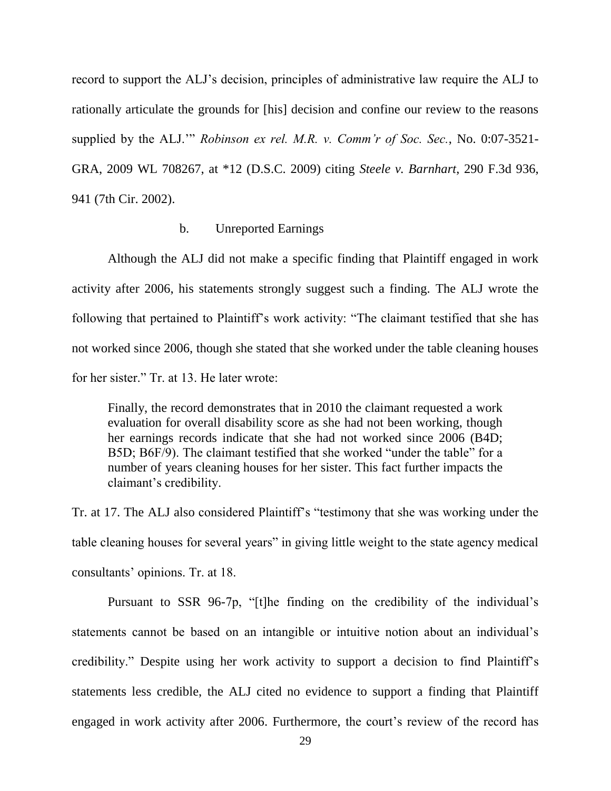record to support the ALJ's decision, principles of administrative law require the ALJ to rationally articulate the grounds for [his] decision and confine our review to the reasons supplied by the ALJ.'" *Robinson ex rel. M.R. v. Comm'r of Soc. Sec.*, No. 0:07-3521- GRA, 2009 WL 708267, at \*12 (D.S.C. 2009) citing *Steele v. Barnhart*, 290 F.3d 936, 941 (7th Cir. 2002).

## b. Unreported Earnings

Although the ALJ did not make a specific finding that Plaintiff engaged in work activity after 2006, his statements strongly suggest such a finding. The ALJ wrote the following that pertained to Plaintiff's work activity: "The claimant testified that she has not worked since 2006, though she stated that she worked under the table cleaning houses for her sister." Tr. at 13. He later wrote:

Finally, the record demonstrates that in 2010 the claimant requested a work evaluation for overall disability score as she had not been working, though her earnings records indicate that she had not worked since 2006 (B4D; B5D; B6F/9). The claimant testified that she worked "under the table" for a number of years cleaning houses for her sister. This fact further impacts the claimant's credibility.

Tr. at 17. The ALJ also considered Plaintiff's "testimony that she was working under the table cleaning houses for several years" in giving little weight to the state agency medical consultants' opinions. Tr. at 18.

Pursuant to SSR 96-7p, "[t]he finding on the credibility of the individual's statements cannot be based on an intangible or intuitive notion about an individual's credibility." Despite using her work activity to support a decision to find Plaintiff's statements less credible, the ALJ cited no evidence to support a finding that Plaintiff engaged in work activity after 2006. Furthermore, the court's review of the record has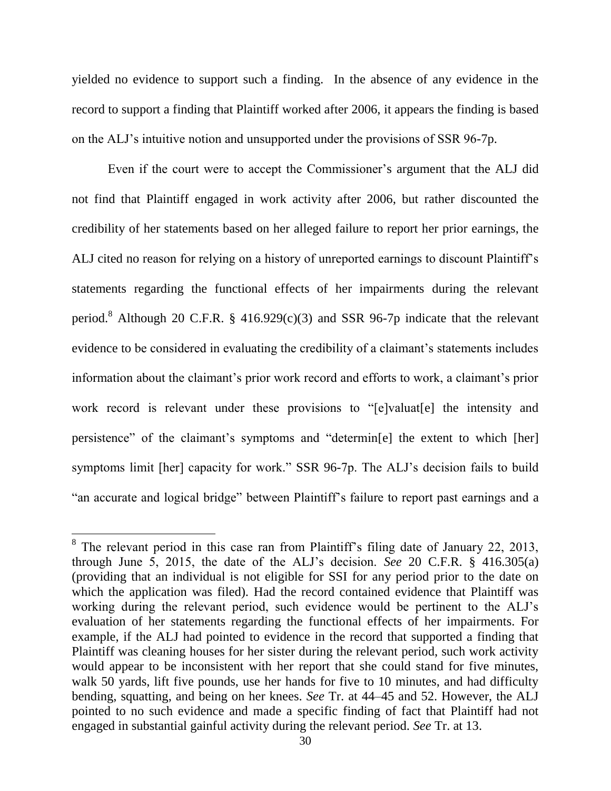yielded no evidence to support such a finding. In the absence of any evidence in the record to support a finding that Plaintiff worked after 2006, it appears the finding is based on the ALJ's intuitive notion and unsupported under the provisions of SSR 96-7p.

Even if the court were to accept the Commissioner's argument that the ALJ did not find that Plaintiff engaged in work activity after 2006, but rather discounted the credibility of her statements based on her alleged failure to report her prior earnings, the ALJ cited no reason for relying on a history of unreported earnings to discount Plaintiff's statements regarding the functional effects of her impairments during the relevant period.<sup>8</sup> Although 20 C.F.R. § 416.929 $(c)(3)$  and SSR 96-7p indicate that the relevant evidence to be considered in evaluating the credibility of a claimant's statements includes information about the claimant's prior work record and efforts to work, a claimant's prior work record is relevant under these provisions to "[e]valuat[e] the intensity and persistence" of the claimant's symptoms and "determin[e] the extent to which [her] symptoms limit [her] capacity for work." SSR 96-7p. The ALJ's decision fails to build "an accurate and logical bridge" between Plaintiff's failure to report past earnings and a

<sup>&</sup>lt;sup>8</sup> The relevant period in this case ran from Plaintiff's filing date of January 22, 2013, through June 5, 2015, the date of the ALJ's decision. *See* 20 C.F.R.  $\frac{8}{3}$  416.305(a) (providing that an individual is not eligible for SSI for any period prior to the date on which the application was filed). Had the record contained evidence that Plaintiff was working during the relevant period, such evidence would be pertinent to the ALJ's evaluation of her statements regarding the functional effects of her impairments. For example, if the ALJ had pointed to evidence in the record that supported a finding that Plaintiff was cleaning houses for her sister during the relevant period, such work activity would appear to be inconsistent with her report that she could stand for five minutes, walk 50 yards, lift five pounds, use her hands for five to 10 minutes, and had difficulty bending, squatting, and being on her knees. *See* Tr. at 44–45 and 52. However, the ALJ pointed to no such evidence and made a specific finding of fact that Plaintiff had not engaged in substantial gainful activity during the relevant period. *See* Tr. at 13.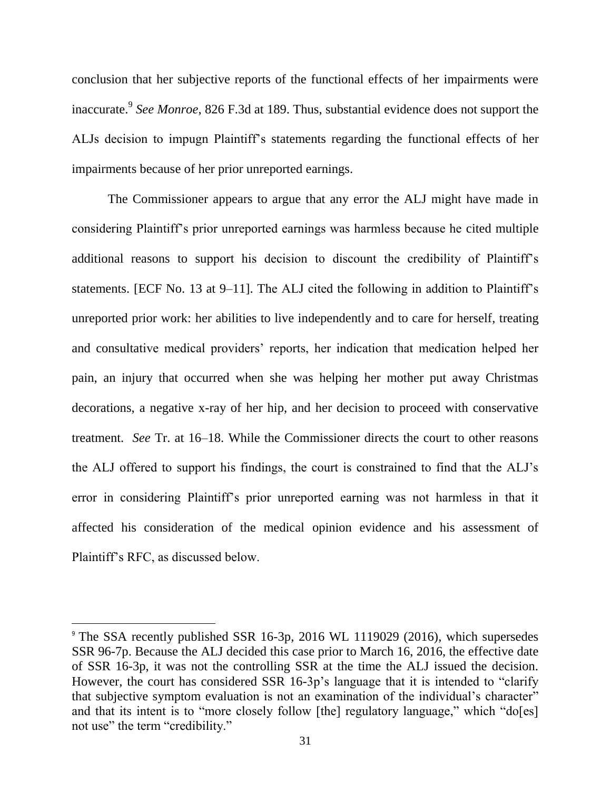conclusion that her subjective reports of the functional effects of her impairments were inaccurate.<sup>9</sup> *See Monroe*, 826 F.3d at 189. Thus, substantial evidence does not support the ALJs decision to impugn Plaintiff's statements regarding the functional effects of her impairments because of her prior unreported earnings.

The Commissioner appears to argue that any error the ALJ might have made in considering Plaintiff's prior unreported earnings was harmless because he cited multiple additional reasons to support his decision to discount the credibility of Plaintiff's statements. [ECF No. 13 at 9–11]. The ALJ cited the following in addition to Plaintiff's unreported prior work: her abilities to live independently and to care for herself, treating and consultative medical providers' reports, her indication that medication helped her pain, an injury that occurred when she was helping her mother put away Christmas decorations, a negative x-ray of her hip, and her decision to proceed with conservative treatment. *See* Tr. at 16–18. While the Commissioner directs the court to other reasons the ALJ offered to support his findings, the court is constrained to find that the ALJ's error in considering Plaintiff's prior unreported earning was not harmless in that it affected his consideration of the medical opinion evidence and his assessment of Plaintiff's RFC, as discussed below.

 $\overline{\phantom{a}}$ 

<sup>&</sup>lt;sup>9</sup> The SSA recently published SSR 16-3p, 2016 WL 1119029 (2016), which supersedes SSR 96-7p. Because the ALJ decided this case prior to March 16, 2016, the effective date of SSR 16-3p, it was not the controlling SSR at the time the ALJ issued the decision. However, the court has considered SSR 16-3p's language that it is intended to "clarify that subjective symptom evaluation is not an examination of the individual's character" and that its intent is to "more closely follow [the] regulatory language," which "do[es] not use" the term "credibility."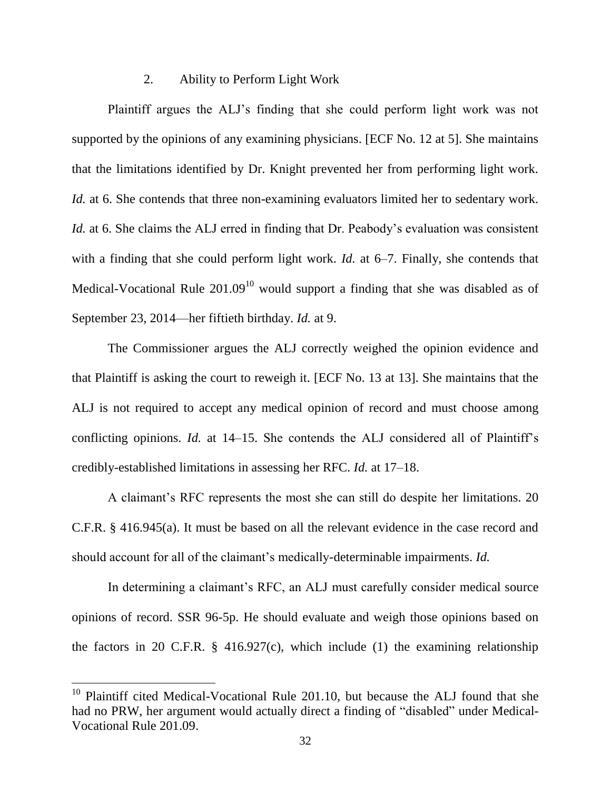## 2. Ability to Perform Light Work

Plaintiff argues the ALJ's finding that she could perform light work was not supported by the opinions of any examining physicians. [ECF No. 12 at 5]. She maintains that the limitations identified by Dr. Knight prevented her from performing light work. *Id.* at 6. She contends that three non-examining evaluators limited her to sedentary work. *Id.* at 6. She claims the ALJ erred in finding that Dr. Peabody's evaluation was consistent with a finding that she could perform light work. *Id.* at 6–7. Finally, she contends that Medical-Vocational Rule  $201.09<sup>10</sup>$  would support a finding that she was disabled as of September 23, 2014—her fiftieth birthday. *Id.* at 9.

The Commissioner argues the ALJ correctly weighed the opinion evidence and that Plaintiff is asking the court to reweigh it. [ECF No. 13 at 13]. She maintains that the ALJ is not required to accept any medical opinion of record and must choose among conflicting opinions. *Id.* at 14–15. She contends the ALJ considered all of Plaintiff's credibly-established limitations in assessing her RFC. *Id.* at 17–18.

A claimant's RFC represents the most she can still do despite her limitations. 20 C.F.R. § 416.945(a). It must be based on all the relevant evidence in the case record and should account for all of the claimant's medically-determinable impairments. *Id.*

In determining a claimant's RFC, an ALJ must carefully consider medical source opinions of record. SSR 96-5p. He should evaluate and weigh those opinions based on the factors in 20 C.F.R.  $\S$  416.927(c), which include (1) the examining relationship

 $\overline{a}$ 

 $10$  Plaintiff cited Medical-Vocational Rule 201.10, but because the ALJ found that she had no PRW, her argument would actually direct a finding of "disabled" under Medical-Vocational Rule 201.09.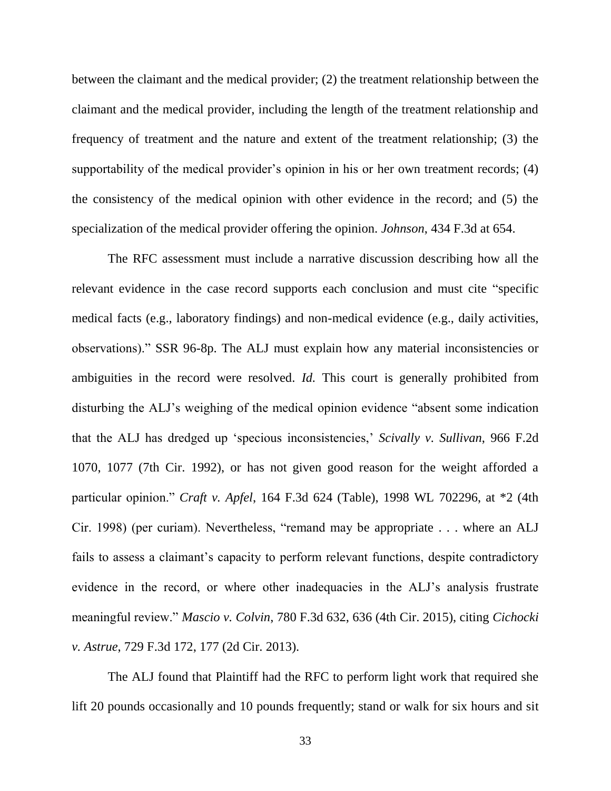between the claimant and the medical provider; (2) the treatment relationship between the claimant and the medical provider, including the length of the treatment relationship and frequency of treatment and the nature and extent of the treatment relationship; (3) the supportability of the medical provider's opinion in his or her own treatment records; (4) the consistency of the medical opinion with other evidence in the record; and (5) the specialization of the medical provider offering the opinion. *Johnson*, 434 F.3d at 654.

The RFC assessment must include a narrative discussion describing how all the relevant evidence in the case record supports each conclusion and must cite "specific medical facts (e.g., laboratory findings) and non-medical evidence (e.g., daily activities, observations)." SSR 96-8p. The ALJ must explain how any material inconsistencies or ambiguities in the record were resolved. *Id.* This court is generally prohibited from disturbing the ALJ's weighing of the medical opinion evidence "absent some indication that the ALJ has dredged up 'specious inconsistencies,' *Scivally v. Sullivan*, 966 F.2d 1070, 1077 (7th Cir. 1992), or has not given good reason for the weight afforded a particular opinion." *Craft v. Apfel*, 164 F.3d 624 (Table), 1998 WL 702296, at \*2 (4th Cir. 1998) (per curiam). Nevertheless, "remand may be appropriate . . . where an ALJ fails to assess a claimant's capacity to perform relevant functions, despite contradictory evidence in the record, or where other inadequacies in the ALJ's analysis frustrate meaningful review." *Mascio v. Colvin*, 780 F.3d 632, 636 (4th Cir. 2015), citing *Cichocki v. Astrue*, 729 F.3d 172, 177 (2d Cir. 2013).

The ALJ found that Plaintiff had the RFC to perform light work that required she lift 20 pounds occasionally and 10 pounds frequently; stand or walk for six hours and sit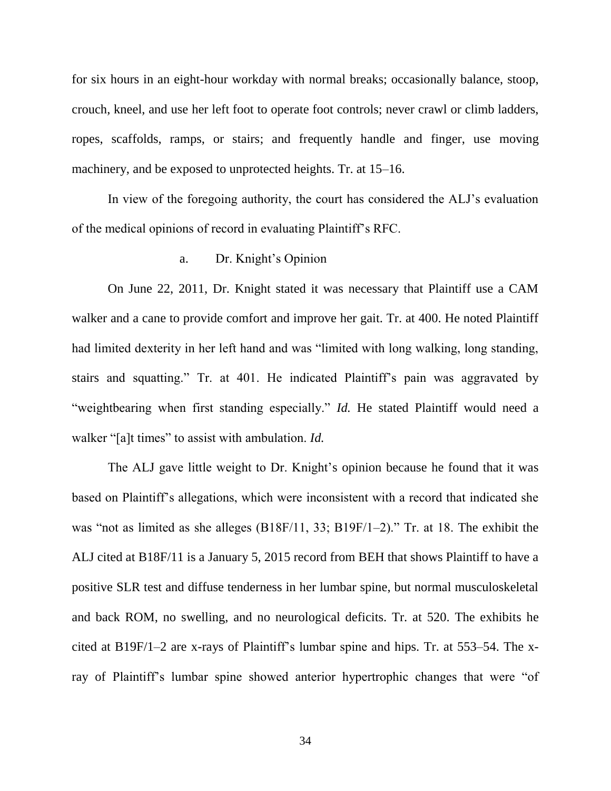for six hours in an eight-hour workday with normal breaks; occasionally balance, stoop, crouch, kneel, and use her left foot to operate foot controls; never crawl or climb ladders, ropes, scaffolds, ramps, or stairs; and frequently handle and finger, use moving machinery, and be exposed to unprotected heights. Tr. at 15–16.

In view of the foregoing authority, the court has considered the ALJ's evaluation of the medical opinions of record in evaluating Plaintiff's RFC.

# a. Dr. Knight's Opinion

On June 22, 2011, Dr. Knight stated it was necessary that Plaintiff use a CAM walker and a cane to provide comfort and improve her gait. Tr. at 400. He noted Plaintiff had limited dexterity in her left hand and was "limited with long walking, long standing, stairs and squatting." Tr. at 401. He indicated Plaintiff's pain was aggravated by "weightbearing when first standing especially." *Id.* He stated Plaintiff would need a walker "[a]t times" to assist with ambulation. *Id.*

The ALJ gave little weight to Dr. Knight's opinion because he found that it was based on Plaintiff's allegations, which were inconsistent with a record that indicated she was "not as limited as she alleges (B18F/11, 33; B19F/1–2)." Tr. at 18. The exhibit the ALJ cited at B18F/11 is a January 5, 2015 record from BEH that shows Plaintiff to have a positive SLR test and diffuse tenderness in her lumbar spine, but normal musculoskeletal and back ROM, no swelling, and no neurological deficits. Tr. at 520. The exhibits he cited at B19F/1–2 are x-rays of Plaintiff's lumbar spine and hips. Tr. at 553–54. The xray of Plaintiff's lumbar spine showed anterior hypertrophic changes that were "of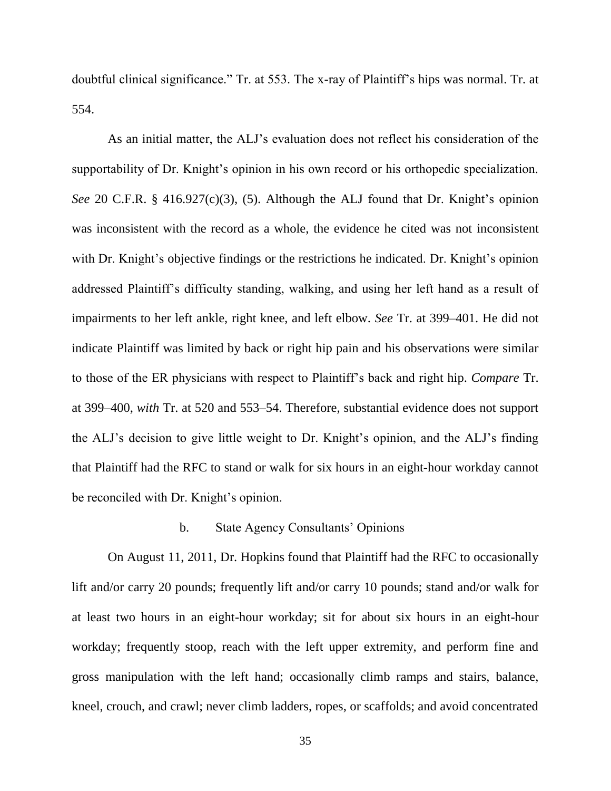doubtful clinical significance." Tr. at 553. The x-ray of Plaintiff's hips was normal. Tr. at 554.

As an initial matter, the ALJ's evaluation does not reflect his consideration of the supportability of Dr. Knight's opinion in his own record or his orthopedic specialization. *See* 20 C.F.R. § 416.927(c)(3), (5). Although the ALJ found that Dr. Knight's opinion was inconsistent with the record as a whole, the evidence he cited was not inconsistent with Dr. Knight's objective findings or the restrictions he indicated. Dr. Knight's opinion addressed Plaintiff's difficulty standing, walking, and using her left hand as a result of impairments to her left ankle, right knee, and left elbow. *See* Tr. at 399–401. He did not indicate Plaintiff was limited by back or right hip pain and his observations were similar to those of the ER physicians with respect to Plaintiff's back and right hip. *Compare* Tr. at 399–400, *with* Tr. at 520 and 553–54. Therefore, substantial evidence does not support the ALJ's decision to give little weight to Dr. Knight's opinion, and the ALJ's finding that Plaintiff had the RFC to stand or walk for six hours in an eight-hour workday cannot be reconciled with Dr. Knight's opinion.

## b. State Agency Consultants' Opinions

On August 11, 2011, Dr. Hopkins found that Plaintiff had the RFC to occasionally lift and/or carry 20 pounds; frequently lift and/or carry 10 pounds; stand and/or walk for at least two hours in an eight-hour workday; sit for about six hours in an eight-hour workday; frequently stoop, reach with the left upper extremity, and perform fine and gross manipulation with the left hand; occasionally climb ramps and stairs, balance, kneel, crouch, and crawl; never climb ladders, ropes, or scaffolds; and avoid concentrated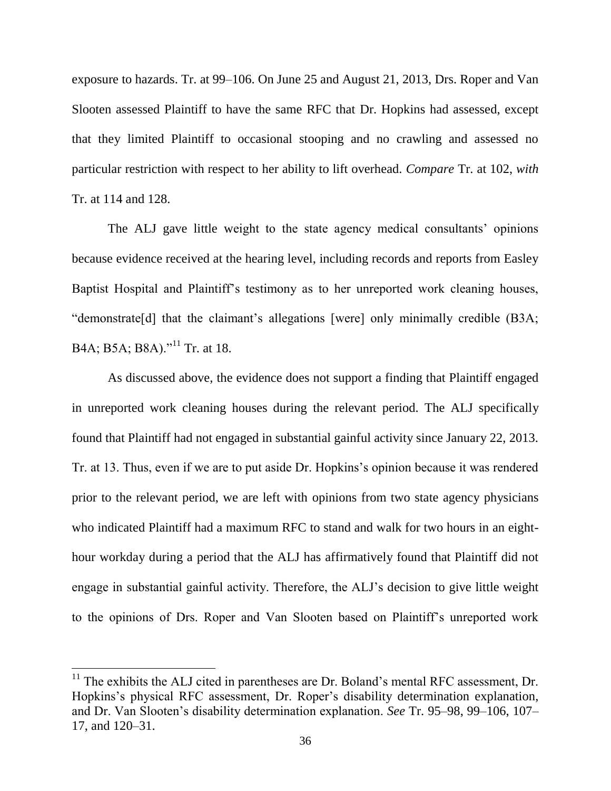exposure to hazards. Tr. at 99–106. On June 25 and August 21, 2013, Drs. Roper and Van Slooten assessed Plaintiff to have the same RFC that Dr. Hopkins had assessed, except that they limited Plaintiff to occasional stooping and no crawling and assessed no particular restriction with respect to her ability to lift overhead. *Compare* Tr. at 102, *with* Tr. at 114 and 128.

The ALJ gave little weight to the state agency medical consultants' opinions because evidence received at the hearing level, including records and reports from Easley Baptist Hospital and Plaintiff's testimony as to her unreported work cleaning houses, "demonstrate[d] that the claimant's allegations [were] only minimally credible (B3A; B4A; B5A; B8A)."<sup>11</sup> Tr. at 18.

As discussed above, the evidence does not support a finding that Plaintiff engaged in unreported work cleaning houses during the relevant period. The ALJ specifically found that Plaintiff had not engaged in substantial gainful activity since January 22, 2013. Tr. at 13. Thus, even if we are to put aside Dr. Hopkins's opinion because it was rendered prior to the relevant period, we are left with opinions from two state agency physicians who indicated Plaintiff had a maximum RFC to stand and walk for two hours in an eighthour workday during a period that the ALJ has affirmatively found that Plaintiff did not engage in substantial gainful activity. Therefore, the ALJ's decision to give little weight to the opinions of Drs. Roper and Van Slooten based on Plaintiff's unreported work

l

 $11$  The exhibits the ALJ cited in parentheses are Dr. Boland's mental RFC assessment, Dr. Hopkins's physical RFC assessment, Dr. Roper's disability determination explanation, and Dr. Van Slooten's disability determination explanation. *See* Tr. 95–98, 99–106, 107– 17, and 120–31.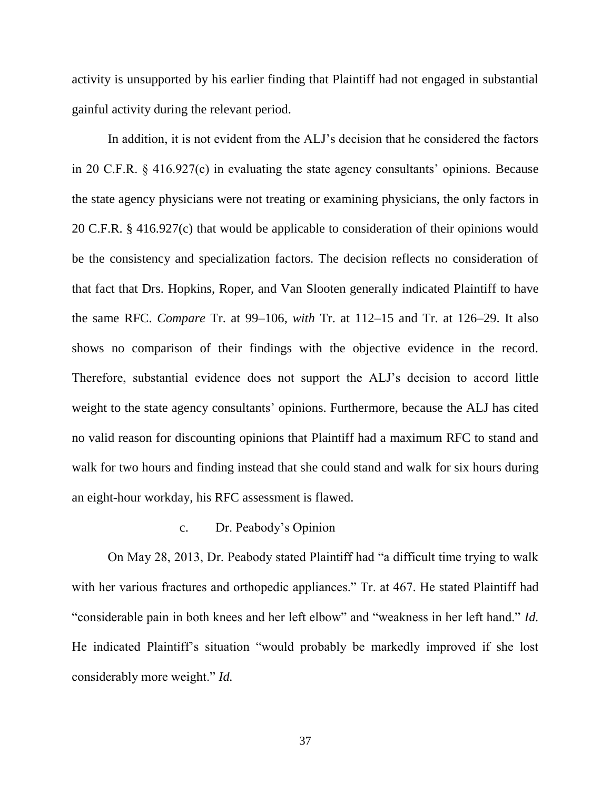activity is unsupported by his earlier finding that Plaintiff had not engaged in substantial gainful activity during the relevant period.

In addition, it is not evident from the ALJ's decision that he considered the factors in 20 C.F.R. § 416.927(c) in evaluating the state agency consultants' opinions. Because the state agency physicians were not treating or examining physicians, the only factors in 20 C.F.R. § 416.927(c) that would be applicable to consideration of their opinions would be the consistency and specialization factors. The decision reflects no consideration of that fact that Drs. Hopkins, Roper, and Van Slooten generally indicated Plaintiff to have the same RFC. *Compare* Tr. at 99–106, *with* Tr. at 112–15 and Tr. at 126–29. It also shows no comparison of their findings with the objective evidence in the record. Therefore, substantial evidence does not support the ALJ's decision to accord little weight to the state agency consultants' opinions. Furthermore, because the ALJ has cited no valid reason for discounting opinions that Plaintiff had a maximum RFC to stand and walk for two hours and finding instead that she could stand and walk for six hours during an eight-hour workday, his RFC assessment is flawed.

# c. Dr. Peabody's Opinion

On May 28, 2013, Dr. Peabody stated Plaintiff had "a difficult time trying to walk with her various fractures and orthopedic appliances." Tr. at 467. He stated Plaintiff had "considerable pain in both knees and her left elbow" and "weakness in her left hand." *Id.* He indicated Plaintiff's situation "would probably be markedly improved if she lost considerably more weight." *Id.*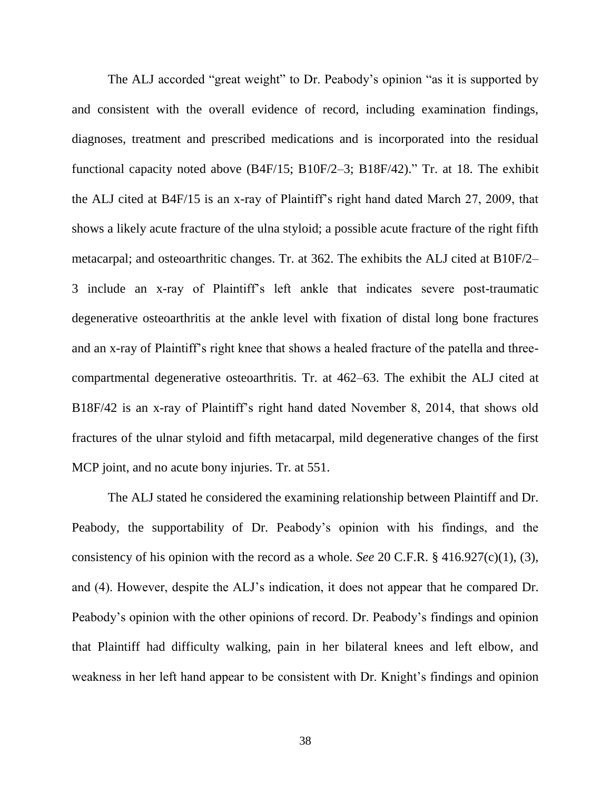The ALJ accorded "great weight" to Dr. Peabody's opinion "as it is supported by and consistent with the overall evidence of record, including examination findings, diagnoses, treatment and prescribed medications and is incorporated into the residual functional capacity noted above (B4F/15; B10F/2–3; B18F/42)." Tr. at 18. The exhibit the ALJ cited at B4F/15 is an x-ray of Plaintiff's right hand dated March 27, 2009, that shows a likely acute fracture of the ulna styloid; a possible acute fracture of the right fifth metacarpal; and osteoarthritic changes. Tr. at 362. The exhibits the ALJ cited at B10F/2– 3 include an x-ray of Plaintiff's left ankle that indicates severe post-traumatic degenerative osteoarthritis at the ankle level with fixation of distal long bone fractures and an x-ray of Plaintiff's right knee that shows a healed fracture of the patella and threecompartmental degenerative osteoarthritis. Tr. at 462–63. The exhibit the ALJ cited at B18F/42 is an x-ray of Plaintiff's right hand dated November 8, 2014, that shows old fractures of the ulnar styloid and fifth metacarpal, mild degenerative changes of the first MCP joint, and no acute bony injuries. Tr. at 551.

The ALJ stated he considered the examining relationship between Plaintiff and Dr. Peabody, the supportability of Dr. Peabody's opinion with his findings, and the consistency of his opinion with the record as a whole. *See* 20 C.F.R. § 416.927(c)(1), (3), and (4). However, despite the ALJ's indication, it does not appear that he compared Dr. Peabody's opinion with the other opinions of record. Dr. Peabody's findings and opinion that Plaintiff had difficulty walking, pain in her bilateral knees and left elbow, and weakness in her left hand appear to be consistent with Dr. Knight's findings and opinion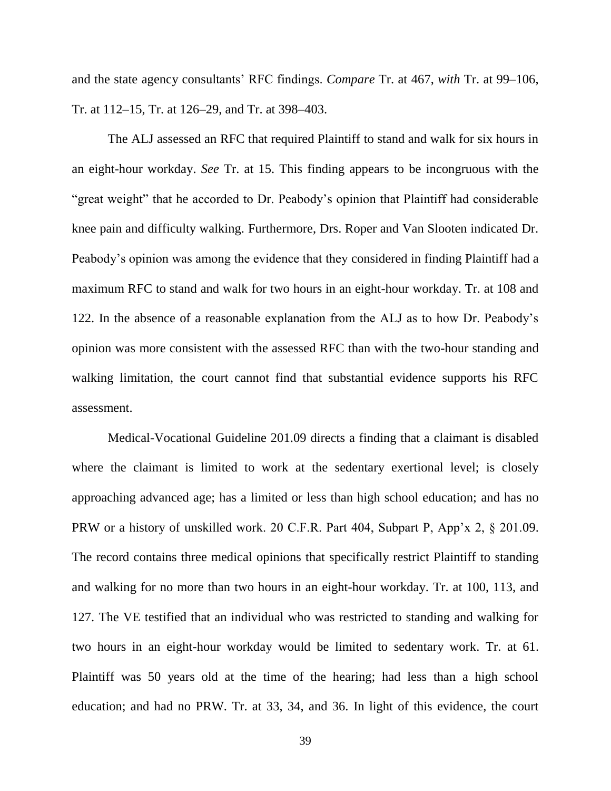and the state agency consultants' RFC findings. *Compare* Tr. at 467, *with* Tr. at 99–106, Tr. at 112–15, Tr. at 126–29, and Tr. at 398–403.

The ALJ assessed an RFC that required Plaintiff to stand and walk for six hours in an eight-hour workday. *See* Tr. at 15. This finding appears to be incongruous with the "great weight" that he accorded to Dr. Peabody's opinion that Plaintiff had considerable knee pain and difficulty walking. Furthermore, Drs. Roper and Van Slooten indicated Dr. Peabody's opinion was among the evidence that they considered in finding Plaintiff had a maximum RFC to stand and walk for two hours in an eight-hour workday. Tr. at 108 and 122. In the absence of a reasonable explanation from the ALJ as to how Dr. Peabody's opinion was more consistent with the assessed RFC than with the two-hour standing and walking limitation, the court cannot find that substantial evidence supports his RFC assessment.

Medical-Vocational Guideline 201.09 directs a finding that a claimant is disabled where the claimant is limited to work at the sedentary exertional level; is closely approaching advanced age; has a limited or less than high school education; and has no PRW or a history of unskilled work. 20 C.F.R. Part 404, Subpart P, App'x 2, § 201.09. The record contains three medical opinions that specifically restrict Plaintiff to standing and walking for no more than two hours in an eight-hour workday. Tr. at 100, 113, and 127. The VE testified that an individual who was restricted to standing and walking for two hours in an eight-hour workday would be limited to sedentary work. Tr. at 61. Plaintiff was 50 years old at the time of the hearing; had less than a high school education; and had no PRW. Tr. at 33, 34, and 36. In light of this evidence, the court